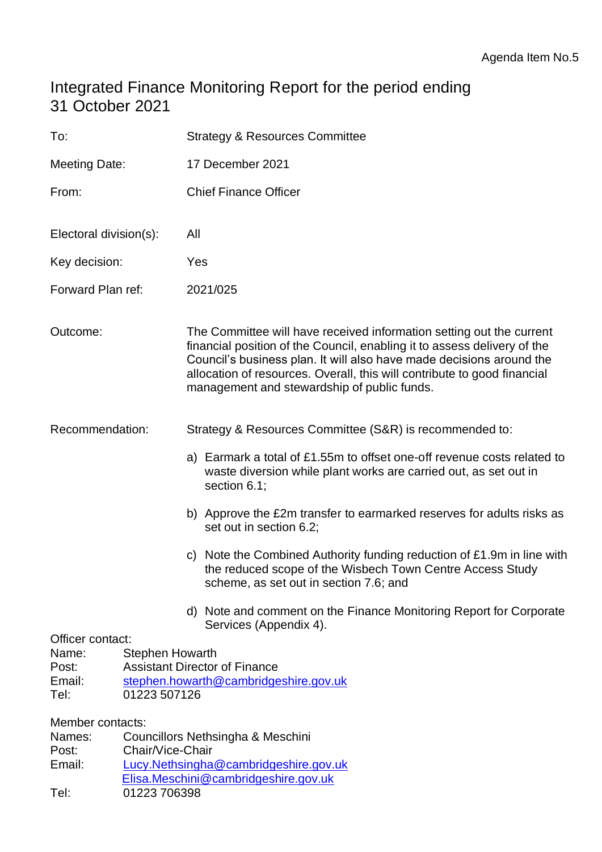# Integrated Finance Monitoring Report for the period ending 31 October 2021

| To:                                                                                            |                  | <b>Strategy &amp; Resources Committee</b>                                                                                                                                                                                                                                                                                                           |  |  |  |
|------------------------------------------------------------------------------------------------|------------------|-----------------------------------------------------------------------------------------------------------------------------------------------------------------------------------------------------------------------------------------------------------------------------------------------------------------------------------------------------|--|--|--|
| Meeting Date:                                                                                  |                  | 17 December 2021                                                                                                                                                                                                                                                                                                                                    |  |  |  |
| From:                                                                                          |                  | <b>Chief Finance Officer</b>                                                                                                                                                                                                                                                                                                                        |  |  |  |
| Electoral division(s):                                                                         |                  | All                                                                                                                                                                                                                                                                                                                                                 |  |  |  |
| Key decision:                                                                                  |                  | Yes                                                                                                                                                                                                                                                                                                                                                 |  |  |  |
| Forward Plan ref:                                                                              |                  | 2021/025                                                                                                                                                                                                                                                                                                                                            |  |  |  |
| Outcome:                                                                                       |                  | The Committee will have received information setting out the current<br>financial position of the Council, enabling it to assess delivery of the<br>Council's business plan. It will also have made decisions around the<br>allocation of resources. Overall, this will contribute to good financial<br>management and stewardship of public funds. |  |  |  |
| Recommendation:                                                                                |                  | Strategy & Resources Committee (S&R) is recommended to:                                                                                                                                                                                                                                                                                             |  |  |  |
|                                                                                                |                  | a) Earmark a total of £1.55m to offset one-off revenue costs related to<br>waste diversion while plant works are carried out, as set out in<br>section 6.1;                                                                                                                                                                                         |  |  |  |
|                                                                                                |                  | b) Approve the £2m transfer to earmarked reserves for adults risks as<br>set out in section 6.2;                                                                                                                                                                                                                                                    |  |  |  |
|                                                                                                |                  | c) Note the Combined Authority funding reduction of £1.9m in line with<br>the reduced scope of the Wisbech Town Centre Access Study<br>scheme, as set out in section 7.6; and                                                                                                                                                                       |  |  |  |
|                                                                                                |                  | d) Note and comment on the Finance Monitoring Report for Corporate<br>Services (Appendix 4).                                                                                                                                                                                                                                                        |  |  |  |
| Officer contact:<br>Name:<br><b>Stephen Howarth</b><br>Post:<br>Email:<br>Tel:<br>01223 507126 |                  | <b>Assistant Director of Finance</b><br>stephen.howarth@cambridgeshire.gov.uk                                                                                                                                                                                                                                                                       |  |  |  |
| Member contacts:<br>Names:<br>Post:<br>Email:                                                  | Chair/Vice-Chair | Councillors Nethsingha & Meschini<br>Lucy.Nethsingha@cambridgeshire.gov.uk<br>Elisa.Meschini@cambridgeshire.gov.uk                                                                                                                                                                                                                                  |  |  |  |

Tel: 01223 706398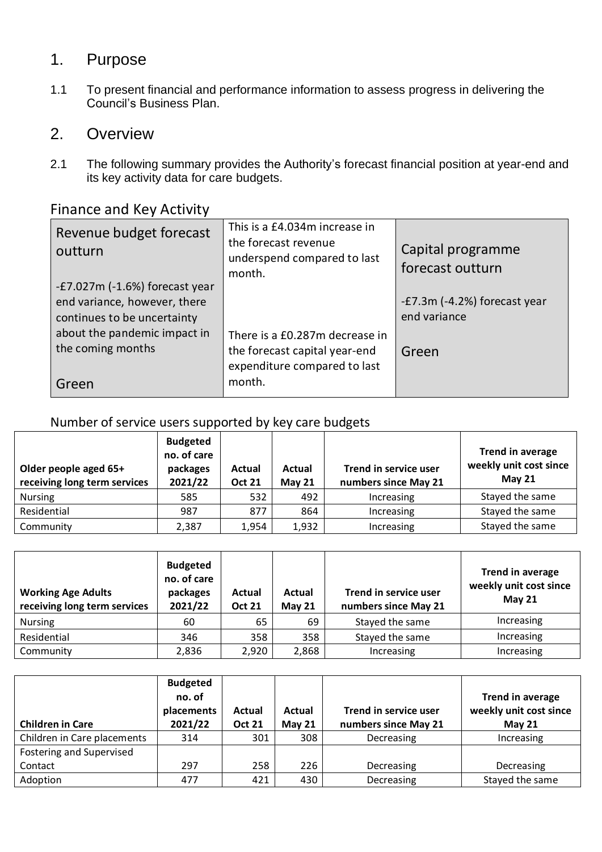## 1. Purpose

1.1 To present financial and performance information to assess progress in delivering the Council's Business Plan.

## 2. Overview

2.1 The following summary provides the Authority's forecast financial position at year-end and its key activity data for care budgets.

## Finance and Key Activity

| Revenue budget forecast<br>outturn                               | This is a £4.034m increase in<br>the forecast revenue<br>underspend compared to last<br>month. | Capital programme<br>forecast outturn |
|------------------------------------------------------------------|------------------------------------------------------------------------------------------------|---------------------------------------|
| $-E7.027m$ (-1.6%) forecast year<br>end variance, however, there |                                                                                                | -£7.3m (-4.2%) forecast year          |
| continues to be uncertainty                                      |                                                                                                | end variance                          |
| about the pandemic impact in                                     | There is a £0.287m decrease in                                                                 |                                       |
| the coming months                                                | the forecast capital year-end                                                                  | Green                                 |
|                                                                  | expenditure compared to last                                                                   |                                       |
| Green                                                            | month.                                                                                         |                                       |

## Number of service users supported by key care budgets

| Older people aged 65+<br>receiving long term services | <b>Budgeted</b><br>no. of care<br>packages<br>2021/22 | Actual<br><b>Oct 21</b> | Actual<br><b>May 21</b> | Trend in service user<br>numbers since May 21 | <b>Trend in average</b><br>weekly unit cost since<br>May $21$ |
|-------------------------------------------------------|-------------------------------------------------------|-------------------------|-------------------------|-----------------------------------------------|---------------------------------------------------------------|
| <b>Nursing</b>                                        | 585                                                   | 532                     | 492                     | Increasing                                    | Stayed the same                                               |
| Residential                                           | 987                                                   | 877                     | 864                     | Increasing                                    | Stayed the same                                               |
| Community                                             | 2,387                                                 | 1,954                   | 1,932                   | Increasing                                    | Stayed the same                                               |

| <b>Working Age Adults</b><br>receiving long term services | <b>Budgeted</b><br>no. of care<br>packages<br>2021/22 | Actual<br><b>Oct 21</b> | Actual<br>May $21$ | Trend in service user<br>numbers since May 21 | <b>Trend in average</b><br>weekly unit cost since<br><b>May 21</b> |
|-----------------------------------------------------------|-------------------------------------------------------|-------------------------|--------------------|-----------------------------------------------|--------------------------------------------------------------------|
| <b>Nursing</b>                                            | 60                                                    | 65                      | 69                 | Stayed the same                               | Increasing                                                         |
| Residential                                               | 346                                                   | 358                     | 358                | Stayed the same                               | Increasing                                                         |
| Community                                                 | 2,836                                                 | 2,920                   | 2,868              | Increasing                                    | Increasing                                                         |

| <b>Children in Care</b>     | <b>Budgeted</b><br>no. of<br>placements<br>2021/22 | Actual<br><b>Oct 21</b> | Actual<br>May $21$ | Trend in service user<br>numbers since May 21 | Trend in average<br>weekly unit cost since<br><b>May 21</b> |
|-----------------------------|----------------------------------------------------|-------------------------|--------------------|-----------------------------------------------|-------------------------------------------------------------|
| Children in Care placements | 314                                                | 301                     | 308                | Decreasing                                    | Increasing                                                  |
| Fostering and Supervised    |                                                    |                         |                    |                                               |                                                             |
| Contact                     | 297                                                | 258                     | 226                | Decreasing                                    | Decreasing                                                  |
| Adoption                    | 477                                                | 421                     | 430                | Decreasing                                    | Stayed the same                                             |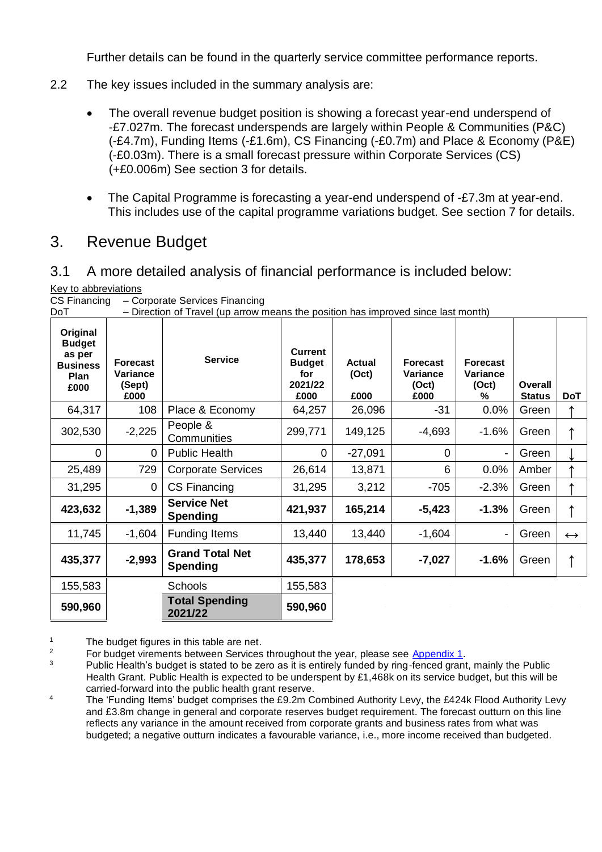Further details can be found in the quarterly service committee performance reports.

- 2.2 The key issues included in the summary analysis are:
	- The overall revenue budget position is showing a forecast year-end underspend of -£7.027m. The forecast underspends are largely within People & Communities (P&C) (-£4.7m), Funding Items (-£1.6m), CS Financing (-£0.7m) and Place & Economy (P&E) (-£0.03m). There is a small forecast pressure within Corporate Services (CS) (+£0.006m) See section 3 for details.
	- The Capital Programme is forecasting a year-end underspend of -£7.3m at year-end. This includes use of the capital programme variations budget. See section 7 for details.

## 3. Revenue Budget

#### 3.1 A more detailed analysis of financial performance is included below:

Key to abbreviations

| CS Financing | - Corporate Services Financing |  |  |
|--------------|--------------------------------|--|--|
|--------------|--------------------------------|--|--|

| יש                                                                     |                                        | Direction or Travel (up arrow means the position has improved since last monthly |                                                           |                                |                                              |                                           |                          |                   |
|------------------------------------------------------------------------|----------------------------------------|----------------------------------------------------------------------------------|-----------------------------------------------------------|--------------------------------|----------------------------------------------|-------------------------------------------|--------------------------|-------------------|
| Original<br><b>Budget</b><br>as per<br><b>Business</b><br>Plan<br>£000 | Forecast<br>Variance<br>(Sept)<br>£000 | <b>Service</b>                                                                   | <b>Current</b><br><b>Budget</b><br>for<br>2021/22<br>£000 | <b>Actual</b><br>(Oct)<br>£000 | <b>Forecast</b><br>Variance<br>(Oct)<br>£000 | <b>Forecast</b><br>Variance<br>(Oct)<br>℅ | Overall<br><b>Status</b> | <b>DoT</b>        |
| 64,317                                                                 | 108                                    | Place & Economy                                                                  | 64,257                                                    | 26,096                         | $-31$                                        | 0.0%                                      | Green                    |                   |
| 302,530                                                                | $-2,225$                               | People &<br>Communities                                                          | 299,771                                                   | 149,125                        | $-4,693$                                     | $-1.6%$                                   | Green                    |                   |
| 0                                                                      | 0                                      | <b>Public Health</b>                                                             | 0                                                         | $-27,091$                      | $\Omega$                                     |                                           | Green                    |                   |
| 25,489                                                                 | 729                                    | <b>Corporate Services</b>                                                        | 26,614                                                    | 13,871                         | 6                                            | 0.0%                                      | Amber                    |                   |
| 31,295                                                                 | $\overline{0}$                         | CS Financing                                                                     | 31,295                                                    | 3,212                          | $-705$                                       | $-2.3%$                                   | Green                    |                   |
| 423,632                                                                | $-1,389$                               | <b>Service Net</b><br><b>Spending</b>                                            | 421,937                                                   | 165,214                        | $-5,423$                                     | $-1.3%$                                   | Green                    |                   |
| 11,745                                                                 | $-1,604$                               | Funding Items                                                                    | 13,440                                                    | 13,440                         | $-1,604$                                     |                                           | Green                    | $\leftrightarrow$ |
| 435,377                                                                | $-2,993$                               | <b>Grand Total Net</b><br><b>Spending</b>                                        | 435,377                                                   | 178,653                        | $-7,027$                                     | $-1.6%$                                   | Green                    |                   |
| 155,583                                                                |                                        | <b>Schools</b>                                                                   | 155,583                                                   |                                |                                              |                                           |                          |                   |
| 590,960                                                                |                                        | <b>Total Spending</b><br>2021/22                                                 | 590,960                                                   |                                |                                              |                                           |                          |                   |

DoT – Direction of Travel (up arrow means the position has improved since last month)

<sup>1</sup> The budget figures in this table are net.<br> $\frac{2}{3}$  Early budget virginants between Services

<sup>2</sup> For budget virements between Services throughout the year, please see  $\frac{\text{Appendix 1}}{\text{Appendix 1}}$ .

Public Health's budget is stated to be zero as it is entirely funded by ring-fenced grant, mainly the Public Health Grant. Public Health is expected to be underspent by £1,468k on its service budget, but this will be carried-forward into the public health grant reserve.

<sup>4</sup> The 'Funding Items' budget comprises the £9.2m Combined Authority Levy, the £424k Flood Authority Levy and £3.8m change in general and corporate reserves budget requirement. The forecast outturn on this line reflects any variance in the amount received from corporate grants and business rates from what was budgeted; a negative outturn indicates a favourable variance, i.e., more income received than budgeted.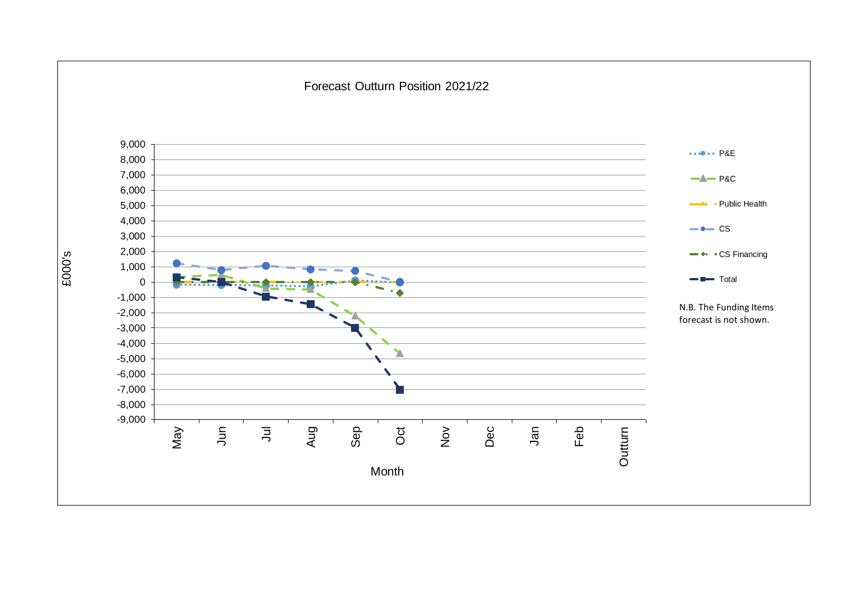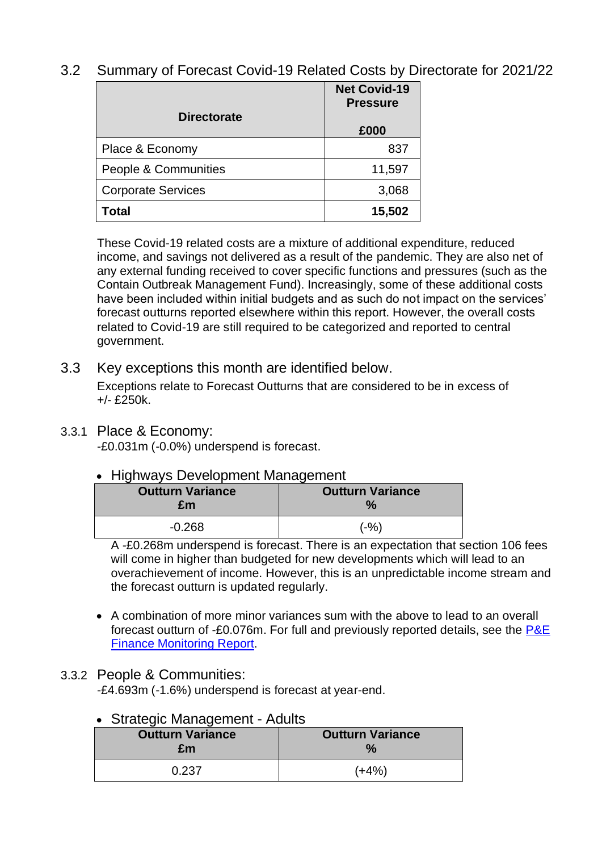## 3.2 Summary of Forecast Covid-19 Related Costs by Directorate for 2021/22

|                           | <b>Net Covid-19</b><br><b>Pressure</b> |
|---------------------------|----------------------------------------|
| <b>Directorate</b>        | £000                                   |
| Place & Economy           | 837                                    |
| People & Communities      | 11,597                                 |
| <b>Corporate Services</b> | 3,068                                  |
| Total                     | 15,502                                 |

These Covid-19 related costs are a mixture of additional expenditure, reduced income, and savings not delivered as a result of the pandemic. They are also net of any external funding received to cover specific functions and pressures (such as the Contain Outbreak Management Fund). Increasingly, some of these additional costs have been included within initial budgets and as such do not impact on the services' forecast outturns reported elsewhere within this report. However, the overall costs related to Covid-19 are still required to be categorized and reported to central government.

## 3.3 Key exceptions this month are identified below.

Exceptions relate to Forecast Outturns that are considered to be in excess of +/- £250k.

#### 3.3.1 Place & Economy:

-£0.031m (-0.0%) underspend is forecast.

## • Highways Development Management

| <b>Outturn Variance</b><br>£m | <b>Outturn Variance</b> |
|-------------------------------|-------------------------|
| $-0.268$                      | (-%)                    |

A -£0.268m underspend is forecast. There is an expectation that section 106 fees will come in higher than budgeted for new developments which will lead to an overachievement of income. However, this is an unpredictable income stream and the forecast outturn is updated regularly.

• A combination of more minor variances sum with the above to lead to an overall forecast outturn of -£0.076m. For full and previously reported details, see the [P&E](https://www.cambridgeshire.gov.uk/asset-library/place-and-economy-finance-monitoring-report-october-2021-v3.pdf)  [Finance Monitoring Report.](https://www.cambridgeshire.gov.uk/asset-library/place-and-economy-finance-monitoring-report-october-2021-v3.pdf)

## 3.3.2 People & Communities:

-£4.693m (-1.6%) underspend is forecast at year-end.

## • Strategic Management - Adults

| <b>Outturn Variance</b> | <b>Outturn Variance</b> |
|-------------------------|-------------------------|
| £m                      | $\frac{1}{2}$           |
| 0.237                   | $(+4%)$                 |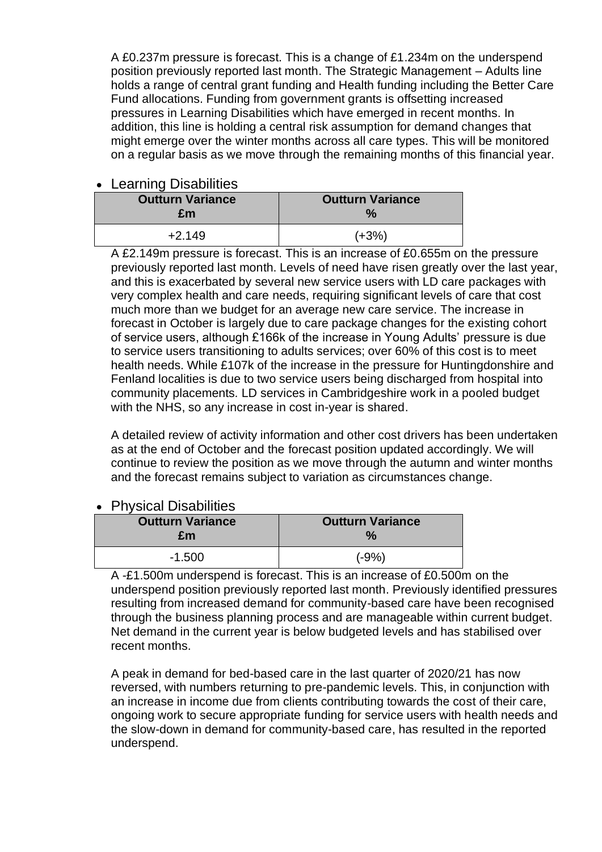A £0.237m pressure is forecast. This is a change of £1.234m on the underspend position previously reported last month. The Strategic Management – Adults line holds a range of central grant funding and Health funding including the Better Care Fund allocations. Funding from government grants is offsetting increased pressures in Learning Disabilities which have emerged in recent months. In addition, this line is holding a central risk assumption for demand changes that might emerge over the winter months across all care types. This will be monitored on a regular basis as we move through the remaining months of this financial year.

#### • Learning Disabilities

| <b>Outturn Variance</b><br>£m | <b>Outturn Variance</b> |
|-------------------------------|-------------------------|
| $+2.149$                      | $(+3%)$                 |

A £2.149m pressure is forecast. This is an increase of £0.655m on the pressure previously reported last month. Levels of need have risen greatly over the last year, and this is exacerbated by several new service users with LD care packages with very complex health and care needs, requiring significant levels of care that cost much more than we budget for an average new care service. The increase in forecast in October is largely due to care package changes for the existing cohort of service users, although £166k of the increase in Young Adults' pressure is due to service users transitioning to adults services; over 60% of this cost is to meet health needs. While £107k of the increase in the pressure for Huntingdonshire and Fenland localities is due to two service users being discharged from hospital into community placements. LD services in Cambridgeshire work in a pooled budget with the NHS, so any increase in cost in-year is shared.

A detailed review of activity information and other cost drivers has been undertaken as at the end of October and the forecast position updated accordingly. We will continue to review the position as we move through the autumn and winter months and the forecast remains subject to variation as circumstances change.

| • FIIVSICAI DISADIIIUSS       |                                          |
|-------------------------------|------------------------------------------|
| <b>Outturn Variance</b><br>£m | <b>Outturn Variance</b><br>$\frac{1}{2}$ |
| $-1.500$                      | $(-9%)$                                  |

## • Physical Disabilities

A -£1.500m underspend is forecast. This is an increase of £0.500m on the underspend position previously reported last month. Previously identified pressures resulting from increased demand for community-based care have been recognised through the business planning process and are manageable within current budget. Net demand in the current year is below budgeted levels and has stabilised over recent months.

A peak in demand for bed-based care in the last quarter of 2020/21 has now reversed, with numbers returning to pre-pandemic levels. This, in conjunction with an increase in income due from clients contributing towards the cost of their care, ongoing work to secure appropriate funding for service users with health needs and the slow-down in demand for community-based care, has resulted in the reported underspend.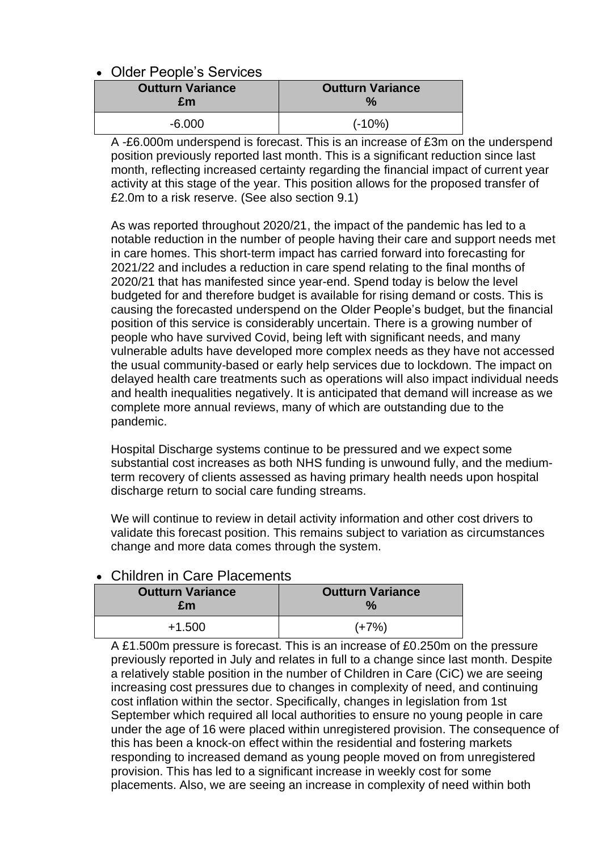#### • Older People's Services

| <b>Outturn Variance</b> | <b>Outturn Variance</b> |
|-------------------------|-------------------------|
| £m                      | $\frac{1}{2}$           |
| $-6.000$                | $(-10%)$                |

A -£6.000m underspend is forecast. This is an increase of £3m on the underspend position previously reported last month. This is a significant reduction since last month, reflecting increased certainty regarding the financial impact of current year activity at this stage of the year. This position allows for the proposed transfer of £2.0m to a risk reserve. (See also section 9.1)

As was reported throughout 2020/21, the impact of the pandemic has led to a notable reduction in the number of people having their care and support needs met in care homes. This short-term impact has carried forward into forecasting for 2021/22 and includes a reduction in care spend relating to the final months of 2020/21 that has manifested since year-end. Spend today is below the level budgeted for and therefore budget is available for rising demand or costs. This is causing the forecasted underspend on the Older People's budget, but the financial position of this service is considerably uncertain. There is a growing number of people who have survived Covid, being left with significant needs, and many vulnerable adults have developed more complex needs as they have not accessed the usual community-based or early help services due to lockdown. The impact on delayed health care treatments such as operations will also impact individual needs and health inequalities negatively. It is anticipated that demand will increase as we complete more annual reviews, many of which are outstanding due to the pandemic.

Hospital Discharge systems continue to be pressured and we expect some substantial cost increases as both NHS funding is unwound fully, and the mediumterm recovery of clients assessed as having primary health needs upon hospital discharge return to social care funding streams.

We will continue to review in detail activity information and other cost drivers to validate this forecast position. This remains subject to variation as circumstances change and more data comes through the system.

#### **Outturn Variance £m Outturn Variance %** +1.500 (+7%)

#### • Children in Care Placements

A £1.500m pressure is forecast. This is an increase of £0.250m on the pressure previously reported in July and relates in full to a change since last month. Despite a relatively stable position in the number of Children in Care (CiC) we are seeing increasing cost pressures due to changes in complexity of need, and continuing cost inflation within the sector. Specifically, changes in legislation from 1st September which required all local authorities to ensure no young people in care under the age of 16 were placed within unregistered provision. The consequence of this has been a knock-on effect within the residential and fostering markets responding to increased demand as young people moved on from unregistered provision. This has led to a significant increase in weekly cost for some placements. Also, we are seeing an increase in complexity of need within both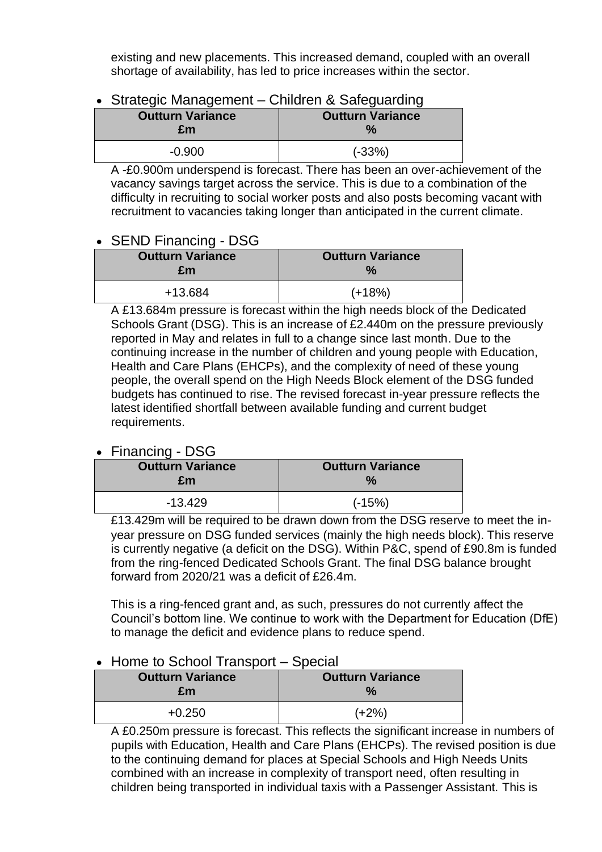existing and new placements. This increased demand, coupled with an overall shortage of availability, has led to price increases within the sector.

#### • Strategic Management – Children & Safeguarding

| <b>Outturn Variance</b> | <b>Outturn Variance</b> |
|-------------------------|-------------------------|
| £m                      | $\frac{9}{6}$           |
| $-0.900$                | $(-33%)$                |

A -£0.900m underspend is forecast. There has been an over-achievement of the vacancy savings target across the service. This is due to a combination of the difficulty in recruiting to social worker posts and also posts becoming vacant with recruitment to vacancies taking longer than anticipated in the current climate.

## • SEND Financing - DSG

| .                             |                                          |
|-------------------------------|------------------------------------------|
| <b>Outturn Variance</b><br>£m | <b>Outturn Variance</b><br>$\frac{1}{2}$ |
| +13.684                       | $(+18%)$                                 |

A £13.684m pressure is forecast within the high needs block of the Dedicated Schools Grant (DSG). This is an increase of £2.440m on the pressure previously reported in May and relates in full to a change since last month. Due to the continuing increase in the number of children and young people with Education, Health and Care Plans (EHCPs), and the complexity of need of these young people, the overall spend on the High Needs Block element of the DSG funded budgets has continued to rise. The revised forecast in-year pressure reflects the latest identified shortfall between available funding and current budget requirements.

## • Financing - DSG

| <b>Outturn Variance</b> | <b>Outturn Variance</b> |
|-------------------------|-------------------------|
| £m                      | $\frac{1}{2}$           |
| $-13.429$               | $(-15%)$                |

£13.429m will be required to be drawn down from the DSG reserve to meet the inyear pressure on DSG funded services (mainly the high needs block). This reserve is currently negative (a deficit on the DSG). Within P&C, spend of £90.8m is funded from the ring-fenced Dedicated Schools Grant. The final DSG balance brought forward from 2020/21 was a deficit of £26.4m.

This is a ring-fenced grant and, as such, pressures do not currently affect the Council's bottom line. We continue to work with the Department for Education (DfE) to manage the deficit and evidence plans to reduce spend.

#### • Home to School Transport – Special

| <b>Outturn Variance</b><br>£m | <b>Outturn Variance</b><br>$\frac{9}{6}$ |
|-------------------------------|------------------------------------------|
| $+0.250$                      | $(+2%)$                                  |

A £0.250m pressure is forecast. This reflects the significant increase in numbers of pupils with Education, Health and Care Plans (EHCPs). The revised position is due to the continuing demand for places at Special Schools and High Needs Units combined with an increase in complexity of transport need, often resulting in children being transported in individual taxis with a Passenger Assistant. This is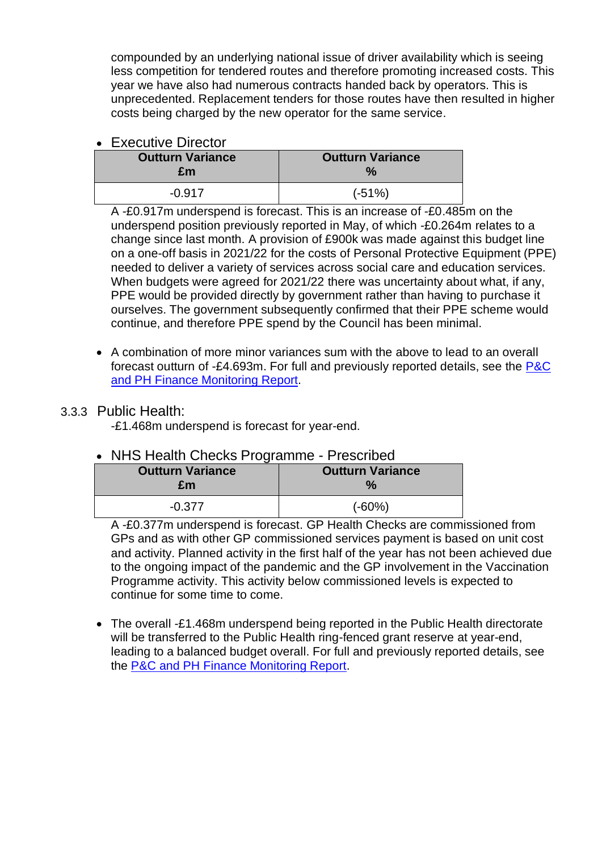compounded by an underlying national issue of driver availability which is seeing less competition for tendered routes and therefore promoting increased costs. This year we have also had numerous contracts handed back by operators. This is unprecedented. Replacement tenders for those routes have then resulted in higher costs being charged by the new operator for the same service.

#### • Executive Director

| <b>Outturn Variance</b> | <b>Outturn Variance</b> |
|-------------------------|-------------------------|
| £m                      | $\frac{1}{2}$           |
| $-0.917$                | $(-51%)$                |

A -£0.917m underspend is forecast. This is an increase of -£0.485m on the underspend position previously reported in May, of which -£0.264m relates to a change since last month. A provision of £900k was made against this budget line on a one-off basis in 2021/22 for the costs of Personal Protective Equipment (PPE) needed to deliver a variety of services across social care and education services. When budgets were agreed for 2021/22 there was uncertainty about what, if any, PPE would be provided directly by government rather than having to purchase it ourselves. The government subsequently confirmed that their PPE scheme would continue, and therefore PPE spend by the Council has been minimal.

• A combination of more minor variances sum with the above to lead to an overall forecast outturn of -£4.693m. For full and previously reported details, see the [P&C](https://www.cambridgeshire.gov.uk/asset-library/people-and-communities-and-public-health-finance-monitoring-report-october-2021.pdf)  [and PH Finance Monitoring Report.](https://www.cambridgeshire.gov.uk/asset-library/people-and-communities-and-public-health-finance-monitoring-report-october-2021.pdf)

## 3.3.3 Public Health:

-£1.468m underspend is forecast for year-end.

## • NHS Health Checks Programme - Prescribed

| <b>Outturn Variance</b><br>£m | <b>Outturn Variance</b> |
|-------------------------------|-------------------------|
| $-0.377$                      | $(-60%)$                |

A -£0.377m underspend is forecast. GP Health Checks are commissioned from GPs and as with other GP commissioned services payment is based on unit cost and activity. Planned activity in the first half of the year has not been achieved due to the ongoing impact of the pandemic and the GP involvement in the Vaccination Programme activity. This activity below commissioned levels is expected to continue for some time to come.

• The overall -£1.468m underspend being reported in the Public Health directorate will be transferred to the Public Health ring-fenced grant reserve at year-end, leading to a balanced budget overall. For full and previously reported details, see the [P&C and PH Finance Monitoring Report.](https://www.cambridgeshire.gov.uk/asset-library/people-and-communities-and-public-health-finance-monitoring-report-october-2021.pdf)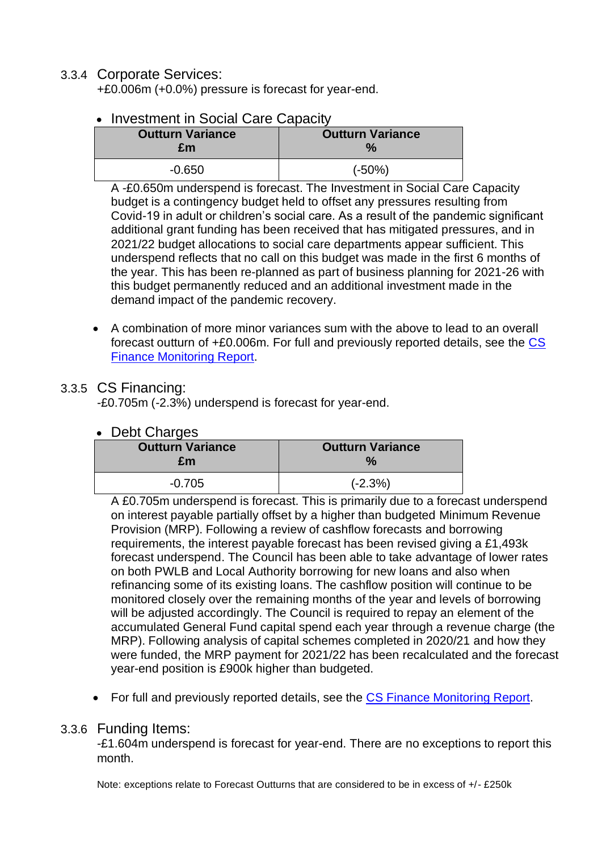## 3.3.4 Corporate Services:

+£0.006m (+0.0%) pressure is forecast for year-end.

## **Investment in Social Care Capacity**

| <b>Outturn Variance</b><br>£m | <b>Outturn Variance</b> |
|-------------------------------|-------------------------|
| $-0.650$                      | $(-50%)$                |

A -£0.650m underspend is forecast. The Investment in Social Care Capacity budget is a contingency budget held to offset any pressures resulting from Covid-19 in adult or children's social care. As a result of the pandemic significant additional grant funding has been received that has mitigated pressures, and in 2021/22 budget allocations to social care departments appear sufficient. This underspend reflects that no call on this budget was made in the first 6 months of the year. This has been re-planned as part of business planning for 2021-26 with this budget permanently reduced and an additional investment made in the demand impact of the pandemic recovery.

• A combination of more minor variances sum with the above to lead to an overall forecast outturn of +£0.006m. For full and previously reported details, see the [CS](https://www.cambridgeshire.gov.uk/asset-library/corporate-services-finance-monitoring-report-october-2021.pdf)  [Finance Monitoring Report.](https://www.cambridgeshire.gov.uk/asset-library/corporate-services-finance-monitoring-report-october-2021.pdf)

## 3.3.5 CS Financing:

-£0.705m (-2.3%) underspend is forecast for year-end.

#### • Debt Charges

| <b>Outturn Variance</b> | <b>Outturn Variance</b> |
|-------------------------|-------------------------|
| £m                      | $\frac{1}{2}$           |
| $-0.705$                | $(-2.3%)$               |

A £0.705m underspend is forecast. This is primarily due to a forecast underspend on interest payable partially offset by a higher than budgeted Minimum Revenue Provision (MRP). Following a review of cashflow forecasts and borrowing requirements, the interest payable forecast has been revised giving a £1,493k forecast underspend. The Council has been able to take advantage of lower rates on both PWLB and Local Authority borrowing for new loans and also when refinancing some of its existing loans. The cashflow position will continue to be monitored closely over the remaining months of the year and levels of borrowing will be adjusted accordingly. The Council is required to repay an element of the accumulated General Fund capital spend each year through a revenue charge (the MRP). Following analysis of capital schemes completed in 2020/21 and how they were funded, the MRP payment for 2021/22 has been recalculated and the forecast year-end position is £900k higher than budgeted.

• For full and previously reported details, see the [CS Finance Monitoring Report.](https://www.cambridgeshire.gov.uk/asset-library/corporate-services-finance-monitoring-report-october-2021.pdf)

#### 3.3.6 Funding Items:

-£1.604m underspend is forecast for year-end. There are no exceptions to report this month.

Note: exceptions relate to Forecast Outturns that are considered to be in excess of +/- £250k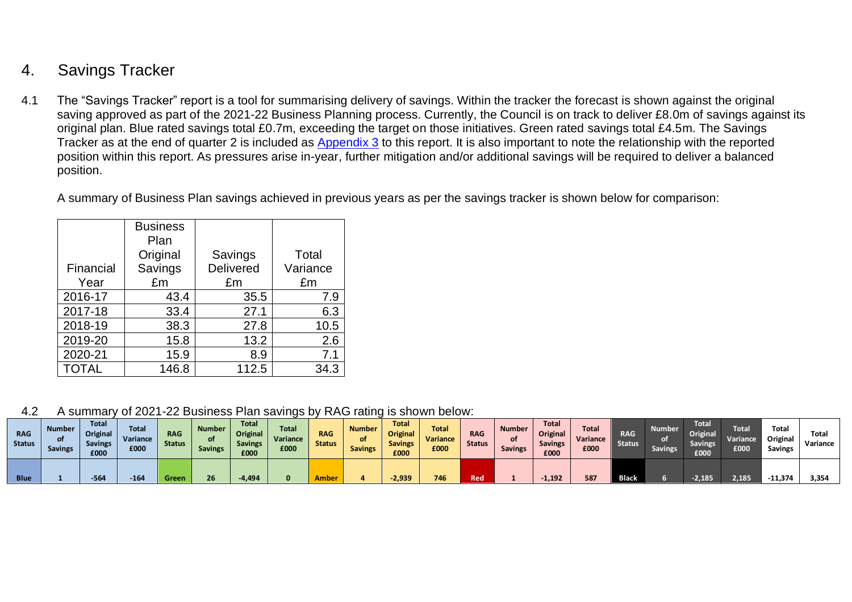# 4. Savings Tracker

4.1 The "Savings Tracker" report is a tool for summarising delivery of savings. Within the tracker the forecast is shown against the original saving approved as part of the 2021-22 Business Planning process. Currently, the Council is on track to deliver £8.0m of savings against its original plan. Blue rated savings total £0.7m, exceeding the target on those initiatives. Green rated savings total £4.5m. The Savings Tracker as at the end of quarter 2 is included as [Appendix 3](#page-30-0) to this report. It is also important to note the relationship with the reported position within this report. As pressures arise in-year, further mitigation and/or additional savings will be required to deliver a balanced position.

A summary of Business Plan savings achieved in previous years as per the savings tracker is shown below for comparison:

|              | <b>Business</b> |                  |          |
|--------------|-----------------|------------------|----------|
|              | Plan            |                  |          |
|              | Original        | Savings          | Total    |
| Financial    | Savings         | <b>Delivered</b> | Variance |
| Year         | £m              | £m               | £m       |
| 2016-17      | 43.4            | 35.5             | 7.9      |
| 2017-18      | 33.4            | 27.1             | 6.3      |
| 2018-19      | 38.3            | 27.8             | 10.5     |
| 2019-20      | 15.8            | 13.2             | 2.6      |
| 2020-21      | 15.9            | 8.9              | 7.1      |
| <b>TOTAL</b> | 146.8           | 112.5            | 34.3     |

4.2 A summary of 2021-22 Business Plan savings by RAG rating is shown below:

| <b>RAG</b><br><b>Status</b> | <b>Number</b><br><b>Savings</b> | <b>Total</b><br><b>Original</b><br><b>Savings</b><br>£000 | <b>Total</b><br>Variance<br>£000 | <b>RAG</b><br><b>Status</b> | <b>Number</b><br>of :<br><b>Savings</b> | <b>Total</b><br>Original<br><b>Savings</b><br>£000 | <b>Total</b><br>Variance<br>£000 | <b>RAG</b><br><b>Status</b> | <b>Number</b><br>οf<br><b>Savings</b> | <b>Total</b><br>Original<br><b>Savings</b><br>£000 | <b>Total</b><br>Variance<br>£000 | <b>RAG</b><br><b>Status</b> | <b>Number</b><br><b>Savings</b> | <b>Total</b><br>Original<br><b>Savings</b><br>£000 | Total<br>Variance<br>£000 | <b>RAG</b><br><b>Status</b> | <b>Number</b><br><b>Savings</b> | <b>Total</b><br><b>Original</b><br><b>Savings</b><br>£000 | <b>Total</b><br>Variance<br>£000 | Total<br>Original<br><b>Savings</b> | Total<br>Variance |
|-----------------------------|---------------------------------|-----------------------------------------------------------|----------------------------------|-----------------------------|-----------------------------------------|----------------------------------------------------|----------------------------------|-----------------------------|---------------------------------------|----------------------------------------------------|----------------------------------|-----------------------------|---------------------------------|----------------------------------------------------|---------------------------|-----------------------------|---------------------------------|-----------------------------------------------------------|----------------------------------|-------------------------------------|-------------------|
| <b>Blue</b>                 |                                 |                                                           | 164                              | <b>Green</b>                | 26                                      | $-4,494$                                           |                                  | <b>\mbe</b>                 |                                       | 2,939                                              | 746                              | Red                         |                                 | $-1,192$                                           | 587                       | <b>Black</b>                |                                 | $-2,185$                                                  | 2,185                            | 11.374                              | 3.354             |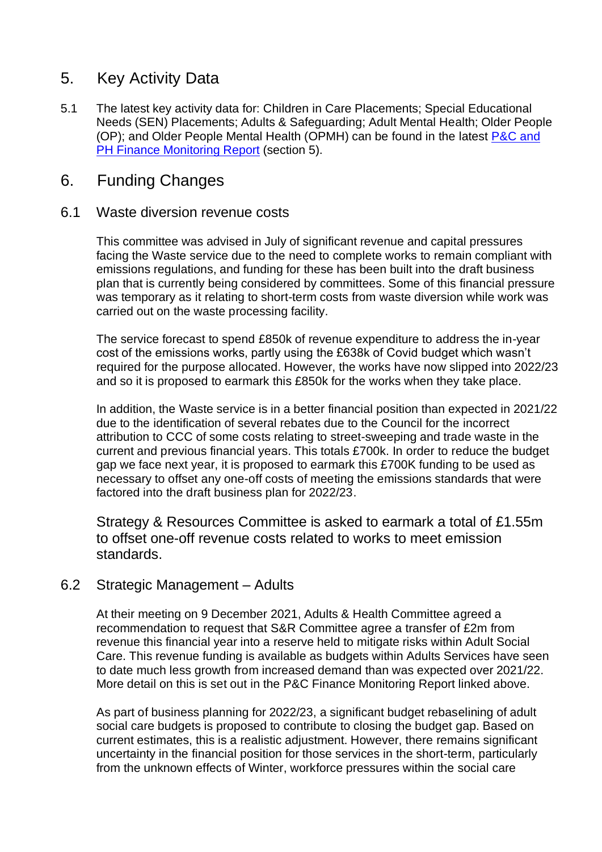## 5. Key Activity Data

5.1 The latest key activity data for: Children in Care Placements; Special Educational Needs (SEN) Placements; Adults & Safeguarding; Adult Mental Health; Older People (OP); and Older People Mental Health (OPMH) can be found in the latest P&C and [PH Finance Monitoring Report](https://www.cambridgeshire.gov.uk/asset-library/people-and-communities-and-public-health-finance-monitoring-report-october-2021.pdf) (section 5).

## 6. Funding Changes

#### 6.1 Waste diversion revenue costs

This committee was advised in July of significant revenue and capital pressures facing the Waste service due to the need to complete works to remain compliant with emissions regulations, and funding for these has been built into the draft business plan that is currently being considered by committees. Some of this financial pressure was temporary as it relating to short-term costs from waste diversion while work was carried out on the waste processing facility.

The service forecast to spend £850k of revenue expenditure to address the in-year cost of the emissions works, partly using the £638k of Covid budget which wasn't required for the purpose allocated. However, the works have now slipped into 2022/23 and so it is proposed to earmark this £850k for the works when they take place.

In addition, the Waste service is in a better financial position than expected in 2021/22 due to the identification of several rebates due to the Council for the incorrect attribution to CCC of some costs relating to street-sweeping and trade waste in the current and previous financial years. This totals £700k. In order to reduce the budget gap we face next year, it is proposed to earmark this £700K funding to be used as necessary to offset any one-off costs of meeting the emissions standards that were factored into the draft business plan for 2022/23.

Strategy & Resources Committee is asked to earmark a total of £1.55m to offset one-off revenue costs related to works to meet emission standards.

## 6.2 Strategic Management – Adults

At their meeting on 9 December 2021, Adults & Health Committee agreed a recommendation to request that S&R Committee agree a transfer of £2m from revenue this financial year into a reserve held to mitigate risks within Adult Social Care. This revenue funding is available as budgets within Adults Services have seen to date much less growth from increased demand than was expected over 2021/22. More detail on this is set out in the P&C Finance Monitoring Report linked above.

As part of business planning for 2022/23, a significant budget rebaselining of adult social care budgets is proposed to contribute to closing the budget gap. Based on current estimates, this is a realistic adjustment. However, there remains significant uncertainty in the financial position for those services in the short-term, particularly from the unknown effects of Winter, workforce pressures within the social care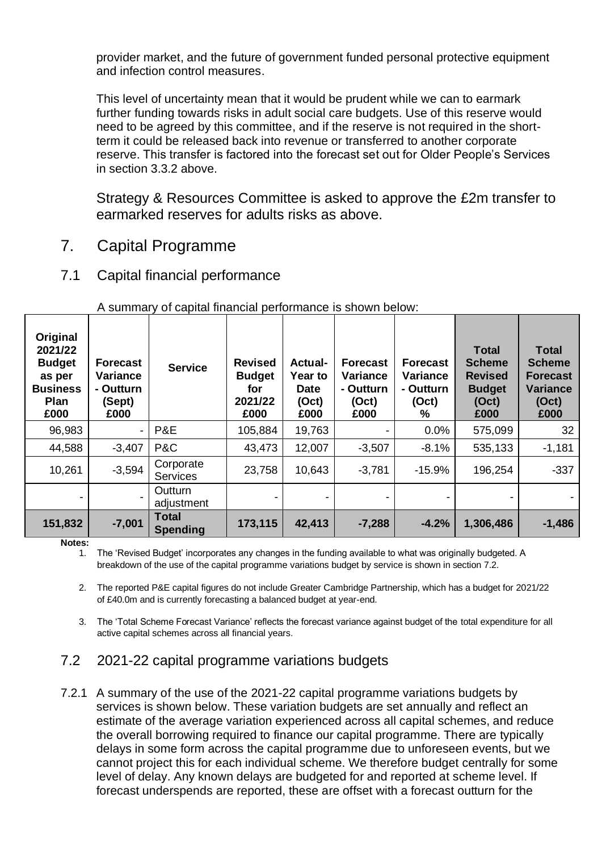provider market, and the future of government funded personal protective equipment and infection control measures.

This level of uncertainty mean that it would be prudent while we can to earmark further funding towards risks in adult social care budgets. Use of this reserve would need to be agreed by this committee, and if the reserve is not required in the shortterm it could be released back into revenue or transferred to another corporate reserve. This transfer is factored into the forecast set out for Older People's Services in section 3.3.2 above.

Strategy & Resources Committee is asked to approve the £2m transfer to earmarked reserves for adults risks as above.

- 7. Capital Programme
- 7.1 Capital financial performance

| Original<br>2021/22<br><b>Budget</b><br>as per<br><b>Business</b><br><b>Plan</b><br>£000 | <b>Forecast</b><br>Variance<br>- Outturn<br>(Sept)<br>£000 | <b>Service</b>                  | <b>Revised</b><br><b>Budget</b><br>for<br>2021/22<br>£000 | <b>Actual-</b><br>Year to<br><b>Date</b><br>(Oct)<br>£000 | <b>Forecast</b><br>Variance<br>- Outturn<br>(Oct)<br>£000 | <b>Forecast</b><br><b>Variance</b><br>- Outturn<br>(Oct)<br>℅ | <b>Total</b><br><b>Scheme</b><br><b>Revised</b><br><b>Budget</b><br>(Oct)<br>£000 | <b>Total</b><br><b>Scheme</b><br><b>Forecast</b><br><b>Variance</b><br>(Oct)<br>£000 |
|------------------------------------------------------------------------------------------|------------------------------------------------------------|---------------------------------|-----------------------------------------------------------|-----------------------------------------------------------|-----------------------------------------------------------|---------------------------------------------------------------|-----------------------------------------------------------------------------------|--------------------------------------------------------------------------------------|
| 96,983                                                                                   | $\overline{\phantom{a}}$                                   | P&E                             | 105,884                                                   | 19,763                                                    |                                                           | 0.0%                                                          | 575,099                                                                           | 32                                                                                   |
| 44,588                                                                                   | $-3,407$                                                   | P&C                             | 43,473                                                    | 12,007                                                    | $-3,507$                                                  | $-8.1%$                                                       | 535,133                                                                           | $-1,181$                                                                             |
| 10,261                                                                                   | $-3,594$                                                   | Corporate<br><b>Services</b>    | 23,758                                                    | 10,643                                                    | $-3,781$                                                  | $-15.9%$                                                      | 196,254                                                                           | $-337$                                                                               |
|                                                                                          |                                                            | Outturn<br>adjustment           |                                                           |                                                           |                                                           |                                                               |                                                                                   |                                                                                      |
| 151,832                                                                                  | $-7,001$                                                   | <b>Total</b><br><b>Spending</b> | 173,115                                                   | 42,413                                                    | $-7,288$                                                  | $-4.2%$                                                       | 1,306,486                                                                         | $-1,486$                                                                             |

#### A summary of capital financial performance is shown below:

**Notes:**

1. The 'Revised Budget' incorporates any changes in the funding available to what was originally budgeted. A breakdown of the use of the capital programme variations budget by service is shown in section 7.2.

2. The reported P&E capital figures do not include Greater Cambridge Partnership, which has a budget for 2021/22 of £40.0m and is currently forecasting a balanced budget at year-end.

3. The 'Total Scheme Forecast Variance' reflects the forecast variance against budget of the total expenditure for all active capital schemes across all financial years.

## 7.2 2021-22 capital programme variations budgets

7.2.1 A summary of the use of the 2021-22 capital programme variations budgets by services is shown below. These variation budgets are set annually and reflect an estimate of the average variation experienced across all capital schemes, and reduce the overall borrowing required to finance our capital programme. There are typically delays in some form across the capital programme due to unforeseen events, but we cannot project this for each individual scheme. We therefore budget centrally for some level of delay. Any known delays are budgeted for and reported at scheme level. If forecast underspends are reported, these are offset with a forecast outturn for the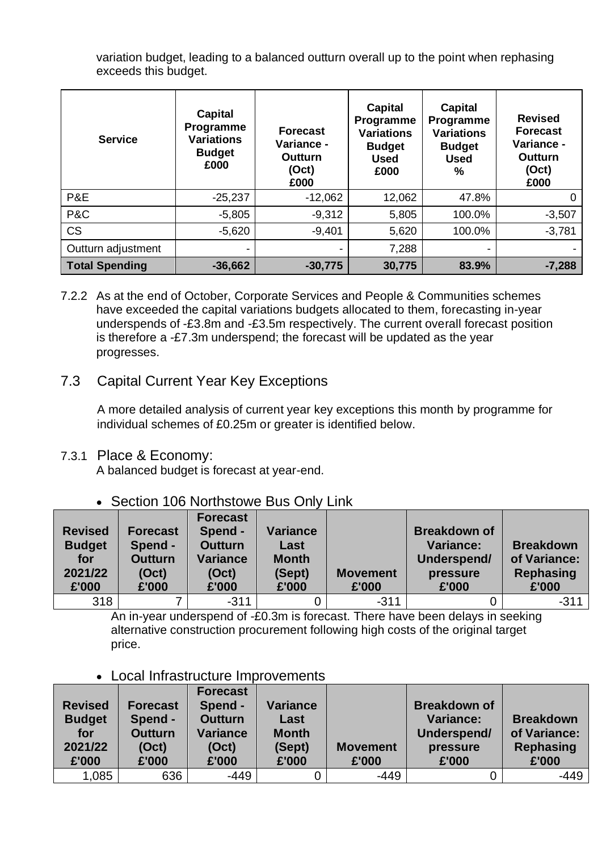variation budget, leading to a balanced outturn overall up to the point when rephasing exceeds this budget.

| <b>Service</b>        | Capital<br>Programme<br><b>Variations</b><br><b>Budget</b><br>£000 | <b>Forecast</b><br>Variance -<br>Outturn<br>(Oct)<br>£000 | Capital<br>Programme<br><b>Variations</b><br><b>Budget</b><br><b>Used</b><br>£000 | <b>Capital</b><br>Programme<br><b>Variations</b><br><b>Budget</b><br><b>Used</b><br>% | <b>Revised</b><br><b>Forecast</b><br>Variance -<br>Outturn<br>(Oct)<br>£000 |
|-----------------------|--------------------------------------------------------------------|-----------------------------------------------------------|-----------------------------------------------------------------------------------|---------------------------------------------------------------------------------------|-----------------------------------------------------------------------------|
| P&E                   | $-25,237$                                                          | $-12,062$                                                 | 12,062                                                                            | 47.8%                                                                                 |                                                                             |
| P&C                   | $-5,805$                                                           | $-9,312$                                                  | 5,805                                                                             | 100.0%                                                                                | $-3,507$                                                                    |
| <b>CS</b>             | $-5,620$                                                           | $-9,401$                                                  | 5,620                                                                             | 100.0%                                                                                | $-3,781$                                                                    |
| Outturn adjustment    | $\overline{\phantom{0}}$                                           | $\overline{\phantom{0}}$                                  | 7,288                                                                             | $\overline{\phantom{0}}$                                                              |                                                                             |
| <b>Total Spending</b> | $-36,662$                                                          | $-30,775$                                                 | 30,775                                                                            | 83.9%                                                                                 | $-7,288$                                                                    |

7.2.2 As at the end of October, Corporate Services and People & Communities schemes have exceeded the capital variations budgets allocated to them, forecasting in-year underspends of -£3.8m and -£3.5m respectively. The current overall forecast position is therefore a -£7.3m underspend; the forecast will be updated as the year progresses.

## 7.3 Capital Current Year Key Exceptions

A more detailed analysis of current year key exceptions this month by programme for individual schemes of £0.25m or greater is identified below.

## 7.3.1 Place & Economy:

A balanced budget is forecast at year-end.

## • Section 106 Northstowe Bus Only Link

| <b>Revised</b><br><b>Budget</b><br>for<br>2021/22<br>£'000 | Forecast<br>Spend -<br><b>Outturn</b><br>(Oct)<br>£'000 | <b>Forecast</b><br>Spend -<br><b>Outturn</b><br><b>Variance</b><br>(Oct)<br>£'000 | <b>Variance</b><br>Last<br><b>Month</b><br>(Sept)<br>£'000 | <b>Movement</b><br>£'000 | <b>Breakdown of</b><br><b>Variance:</b><br>Underspend/<br>pressure<br>£'000 | <b>Breakdown</b><br>of Variance:<br><b>Rephasing</b><br>£'000 |
|------------------------------------------------------------|---------------------------------------------------------|-----------------------------------------------------------------------------------|------------------------------------------------------------|--------------------------|-----------------------------------------------------------------------------|---------------------------------------------------------------|
| 318                                                        |                                                         | $-311$                                                                            |                                                            | $-311$                   |                                                                             | $-311$                                                        |

An in-year underspend of -£0.3m is forecast. There have been delays in seeking alternative construction procurement following high costs of the original target price.

#### • Local Infrastructure Improvements

| <b>Revised</b><br><b>Budget</b><br>for<br>2021/22<br>£'000 | Forecast<br>Spend -<br><b>Outturn</b><br>(Oct)<br>£'000 | Forecast<br>Spend -<br><b>Outturn</b><br><b>Variance</b><br>(Oct)<br>£'000 | <b>Variance</b><br>Last<br><b>Month</b><br>(Sept)<br>£'000 | <b>Movement</b><br>£'000 | <b>Breakdown of</b><br><b>Variance:</b><br>Underspend/<br>pressure<br>£'000 | <b>Breakdown</b><br>of Variance:<br>Rephasing<br>£'000 |
|------------------------------------------------------------|---------------------------------------------------------|----------------------------------------------------------------------------|------------------------------------------------------------|--------------------------|-----------------------------------------------------------------------------|--------------------------------------------------------|
| 1,085                                                      | 636                                                     | $-449$                                                                     |                                                            | $-449$                   |                                                                             | -449                                                   |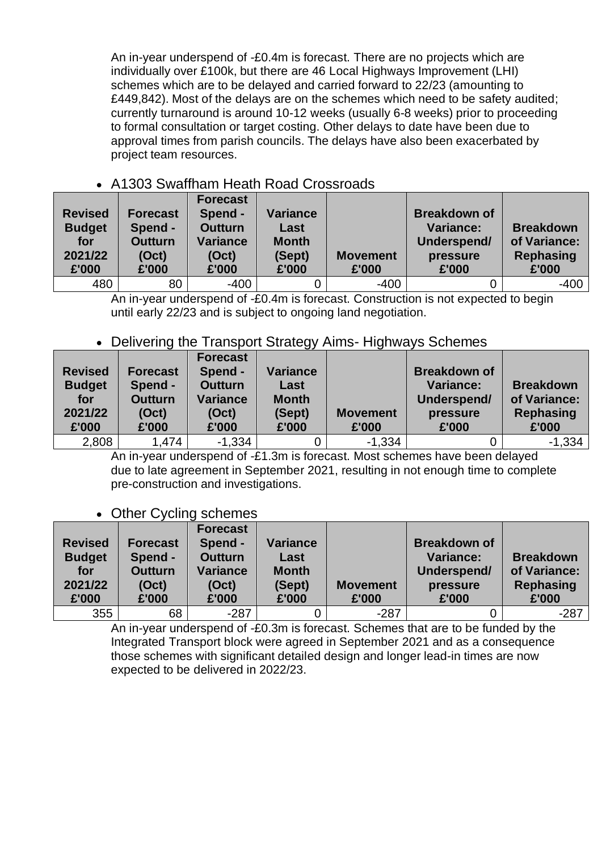An in-year underspend of -£0.4m is forecast. There are no projects which are individually over £100k, but there are 46 Local Highways Improvement (LHI) schemes which are to be delayed and carried forward to 22/23 (amounting to £449,842). Most of the delays are on the schemes which need to be safety audited; currently turnaround is around 10-12 weeks (usually 6-8 weeks) prior to proceeding to formal consultation or target costing. Other delays to date have been due to approval times from parish councils. The delays have also been exacerbated by project team resources.

## • A1303 Swaffham Heath Road Crossroads

| <b>Revised</b><br><b>Budget</b><br>for<br>2021/22<br>£'000 | <b>Forecast</b><br>Spend -<br><b>Outturn</b><br>(Oct)<br>£'000 | <b>Forecast</b><br>Spend -<br><b>Outturn</b><br><b>Variance</b><br>(Oct)<br>£'000 | <b>Variance</b><br>Last<br><b>Month</b><br>(Sept)<br>£'000 | <b>Movement</b><br>£'000 | <b>Breakdown of</b><br><b>Variance:</b><br>Underspend/<br>pressure<br>£'000 | <b>Breakdown</b><br>of Variance:<br><b>Rephasing</b><br>£'000 |
|------------------------------------------------------------|----------------------------------------------------------------|-----------------------------------------------------------------------------------|------------------------------------------------------------|--------------------------|-----------------------------------------------------------------------------|---------------------------------------------------------------|
| 480                                                        | 80                                                             | $-400$                                                                            |                                                            | $-400$                   |                                                                             | -400                                                          |

An in-year underspend of -£0.4m is forecast. Construction is not expected to begin until early 22/23 and is subject to ongoing land negotiation.

## • Delivering the Transport Strategy Aims- Highways Schemes

| <b>Revised</b><br><b>Budget</b><br>for<br>2021/22<br>£'000 | Forecast<br>Spend -<br><b>Outturn</b><br>(Oct)<br>£'000 | <b>Forecast</b><br>Spend -<br><b>Outturn</b><br><b>Variance</b><br>(Oct)<br>£'000 | <b>Variance</b><br>Last<br><b>Month</b><br>(Sept)<br>£'000 | <b>Movement</b><br>£'000 | <b>Breakdown of</b><br><b>Variance:</b><br>Underspend/<br>pressure<br>£'000 | <b>Breakdown</b><br>of Variance:<br><b>Rephasing</b><br>£'000 |
|------------------------------------------------------------|---------------------------------------------------------|-----------------------------------------------------------------------------------|------------------------------------------------------------|--------------------------|-----------------------------------------------------------------------------|---------------------------------------------------------------|
| 2,808                                                      | 1,474                                                   | $-1,334$                                                                          |                                                            | $-1,334$                 |                                                                             | $-1,334$                                                      |

An in-year underspend of -£1.3m is forecast. Most schemes have been delayed due to late agreement in September 2021, resulting in not enough time to complete pre-construction and investigations.

## • Other Cycling schemes

| <b>Revised</b><br><b>Budget</b><br>for<br>2021/22<br>£'000 | <b>Forecast</b><br>Spend -<br><b>Outturn</b><br>(Oct)<br>£'000 | <b>Forecast</b><br>Spend -<br><b>Outturn</b><br><b>Variance</b><br>(Oct)<br>£'000 | <b>Variance</b><br>Last<br><b>Month</b><br>(Sept)<br>£'000 | <b>Movement</b><br>£'000 | <b>Breakdown of</b><br><b>Variance:</b><br>Underspend/<br>pressure<br>£'000 | <b>Breakdown</b><br>of Variance:<br>Rephasing<br>£'000 |
|------------------------------------------------------------|----------------------------------------------------------------|-----------------------------------------------------------------------------------|------------------------------------------------------------|--------------------------|-----------------------------------------------------------------------------|--------------------------------------------------------|
| 355                                                        | 68                                                             | $-287$                                                                            |                                                            | $-287$                   |                                                                             | $-287$                                                 |

An in-year underspend of -£0.3m is forecast. Schemes that are to be funded by the Integrated Transport block were agreed in September 2021 and as a consequence those schemes with significant detailed design and longer lead-in times are now expected to be delivered in 2022/23.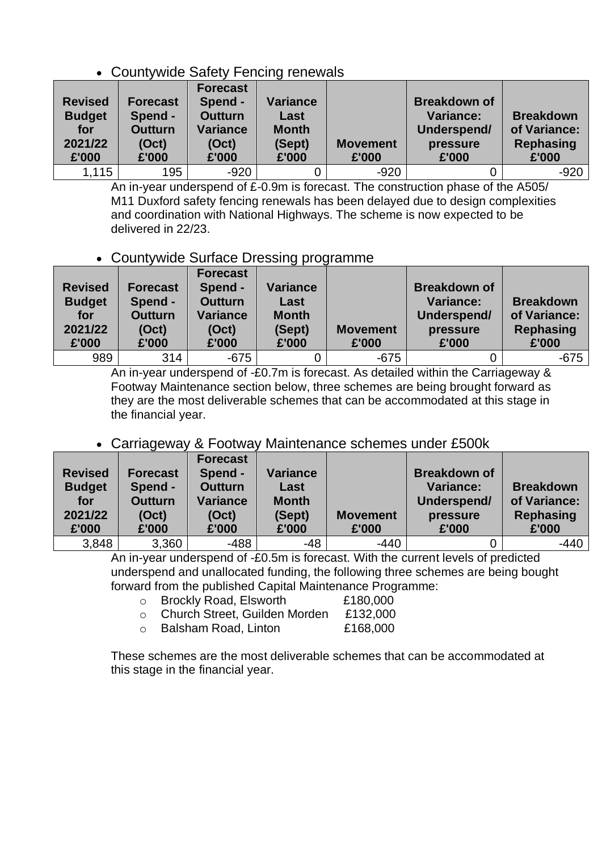## • Countywide Safety Fencing renewals

| <b>Revised</b><br><b>Budget</b><br>for<br>2021/22<br>£'000 | Forecast<br>Spend -<br><b>Outturn</b><br>(Oct)<br>£'000 | Forecast<br>Spend -<br><b>Outturn</b><br><b>Variance</b><br>(Oct)<br>£'000 | <b>Variance</b><br>Last<br><b>Month</b><br>(Sept)<br>£'000 | <b>Movement</b><br>£'000 | <b>Breakdown of</b><br><b>Variance:</b><br>Underspend/<br>pressure<br>£'000 | <b>Breakdown</b><br>of Variance:<br><b>Rephasing</b><br>£'000 |
|------------------------------------------------------------|---------------------------------------------------------|----------------------------------------------------------------------------|------------------------------------------------------------|--------------------------|-----------------------------------------------------------------------------|---------------------------------------------------------------|
| 1,115                                                      | 195                                                     | $-920$                                                                     |                                                            | $-920$                   |                                                                             | $-920$                                                        |

An in-year underspend of £-0.9m is forecast. The construction phase of the A505/ M11 Duxford safety fencing renewals has been delayed due to design complexities and coordination with National Highways. The scheme is now expected to be delivered in 22/23.

## • Countywide Surface Dressing programme

| <b>Revised</b><br><b>Budget</b><br>for<br>2021/22<br>£'000 | <b>Forecast</b><br>Spend -<br><b>Outturn</b><br>(Oct)<br>£'000 | <b>Forecast</b><br>Spend -<br><b>Outturn</b><br>Variance<br>(Oct)<br>£'000 | <b>Variance</b><br>Last<br><b>Month</b><br>(Sept)<br>£'000 | <b>Movement</b><br>£'000 | <b>Breakdown of</b><br><b>Variance:</b><br>Underspend/<br>pressure<br>£'000 | <b>Breakdown</b><br>of Variance:<br><b>Rephasing</b><br>£'000 |
|------------------------------------------------------------|----------------------------------------------------------------|----------------------------------------------------------------------------|------------------------------------------------------------|--------------------------|-----------------------------------------------------------------------------|---------------------------------------------------------------|
| 989                                                        | 314                                                            | $-675$                                                                     |                                                            | $-675$                   |                                                                             | $-675$                                                        |

An in-year underspend of -£0.7m is forecast. As detailed within the Carriageway & Footway Maintenance section below, three schemes are being brought forward as they are the most deliverable schemes that can be accommodated at this stage in the financial year.

## • Carriageway & Footway Maintenance schemes under £500k

| <b>Revised</b><br><b>Budget</b><br>for<br>2021/22<br>£'000 | Forecast<br>Spend -<br><b>Outturn</b><br>(Oct)<br>£'000 | <b>Forecast</b><br>Spend -<br><b>Outturn</b><br><b>Variance</b><br>(Oct)<br>£'000 | <b>Variance</b><br>Last<br><b>Month</b><br>(Sept)<br>£'000 | <b>Movement</b><br>£'000 | <b>Breakdown of</b><br><b>Variance:</b><br>Underspend/<br>pressure<br>£'000 | <b>Breakdown</b><br>of Variance:<br>Rephasing<br>£'000 |
|------------------------------------------------------------|---------------------------------------------------------|-----------------------------------------------------------------------------------|------------------------------------------------------------|--------------------------|-----------------------------------------------------------------------------|--------------------------------------------------------|
| 3,848                                                      | 3,360                                                   | $-488$                                                                            | -48                                                        | $-440$                   |                                                                             | $-440$                                                 |

An in-year underspend of -£0.5m is forecast. With the current levels of predicted underspend and unallocated funding, the following three schemes are being bought forward from the published Capital Maintenance Programme:

- o Brockly Road, Elsworth £180,000
- o Church Street, Guilden Morden £132,000
- o Balsham Road, Linton £168,000

These schemes are the most deliverable schemes that can be accommodated at this stage in the financial year.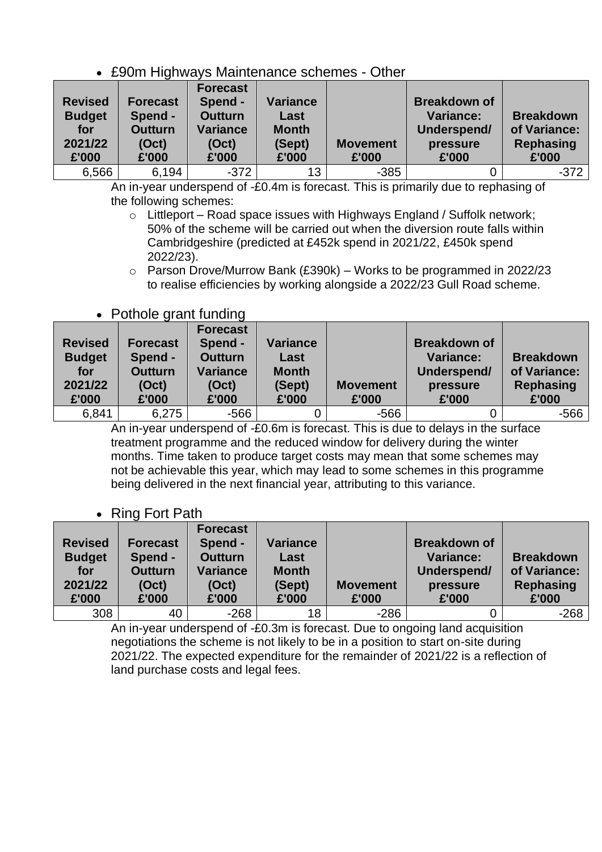## • £90m Highways Maintenance schemes - Other

| <b>Revised</b><br><b>Budget</b><br>for<br>2021/22<br>£'000 | <b>Forecast</b><br>Spend -<br><b>Outturn</b><br>(Oct)<br>£'000 | <b>Forecast</b><br>Spend -<br><b>Outturn</b><br><b>Variance</b><br>(Oct)<br>£'000 | <b>Variance</b><br>Last<br><b>Month</b><br>(Sept)<br>£'000 | <b>Movement</b><br>£'000 | <b>Breakdown of</b><br><b>Variance:</b><br>Underspend/<br>pressure<br>£'000 | <b>Breakdown</b><br>of Variance:<br><b>Rephasing</b><br>£'000 |
|------------------------------------------------------------|----------------------------------------------------------------|-----------------------------------------------------------------------------------|------------------------------------------------------------|--------------------------|-----------------------------------------------------------------------------|---------------------------------------------------------------|
| 6,566                                                      | 6,194                                                          | $-372$                                                                            | 13                                                         | $-385$                   |                                                                             | $-372$                                                        |

An in-year underspend of -£0.4m is forecast. This is primarily due to rephasing of the following schemes:

- o Littleport Road space issues with Highways England / Suffolk network; 50% of the scheme will be carried out when the diversion route falls within Cambridgeshire (predicted at £452k spend in 2021/22, £450k spend 2022/23).
- $\circ$  Parson Drove/Murrow Bank (£390k) Works to be programmed in 2022/23 to realise efficiencies by working alongside a 2022/23 Gull Road scheme.

## • Pothole grant funding

| <b>Revised</b><br><b>Budget</b><br>for<br>2021/22<br>£'000 | <b>Forecast</b><br>Spend -<br><b>Outturn</b><br>(Oct)<br>£'000 | ີ<br><b>Forecast</b><br>Spend -<br><b>Outturn</b><br><b>Variance</b><br>(Oct)<br>£'000 | <b>Variance</b><br>Last<br><b>Month</b><br>(Sept)<br>£'000 | <b>Movement</b><br>£'000 | <b>Breakdown of</b><br><b>Variance:</b><br>Underspend/<br>pressure<br>£'000 | <b>Breakdown</b><br>of Variance:<br><b>Rephasing</b><br>£'000 |
|------------------------------------------------------------|----------------------------------------------------------------|----------------------------------------------------------------------------------------|------------------------------------------------------------|--------------------------|-----------------------------------------------------------------------------|---------------------------------------------------------------|
| 6,841                                                      | 6,275                                                          | -566                                                                                   |                                                            | $-566$                   |                                                                             | -566                                                          |

An in-year underspend of -£0.6m is forecast. This is due to delays in the surface treatment programme and the reduced window for delivery during the winter months. Time taken to produce target costs may mean that some schemes may not be achievable this year, which may lead to some schemes in this programme being delivered in the next financial year, attributing to this variance.

## • Ring Fort Path

| <b>Revised</b><br><b>Budget</b><br>for<br>2021/22<br>£'000 | Forecast<br>Spend -<br><b>Outturn</b><br>(Oct)<br>£'000 | <b>Forecast</b><br>Spend -<br><b>Outturn</b><br><b>Variance</b><br>(Oct)<br>£'000 | <b>Variance</b><br>Last<br><b>Month</b><br>(Sept)<br>£'000 | <b>Movement</b><br>£'000 | <b>Breakdown of</b><br><b>Variance:</b><br>Underspend/<br>pressure<br>£'000 | <b>Breakdown</b><br>of Variance:<br><b>Rephasing</b><br>£'000 |
|------------------------------------------------------------|---------------------------------------------------------|-----------------------------------------------------------------------------------|------------------------------------------------------------|--------------------------|-----------------------------------------------------------------------------|---------------------------------------------------------------|
| 308                                                        | 40                                                      | $-268$                                                                            | 18                                                         | $-286$                   |                                                                             | $-268$                                                        |

An in-year underspend of -£0.3m is forecast. Due to ongoing land acquisition negotiations the scheme is not likely to be in a position to start on-site during 2021/22. The expected expenditure for the remainder of 2021/22 is a reflection of land purchase costs and legal fees.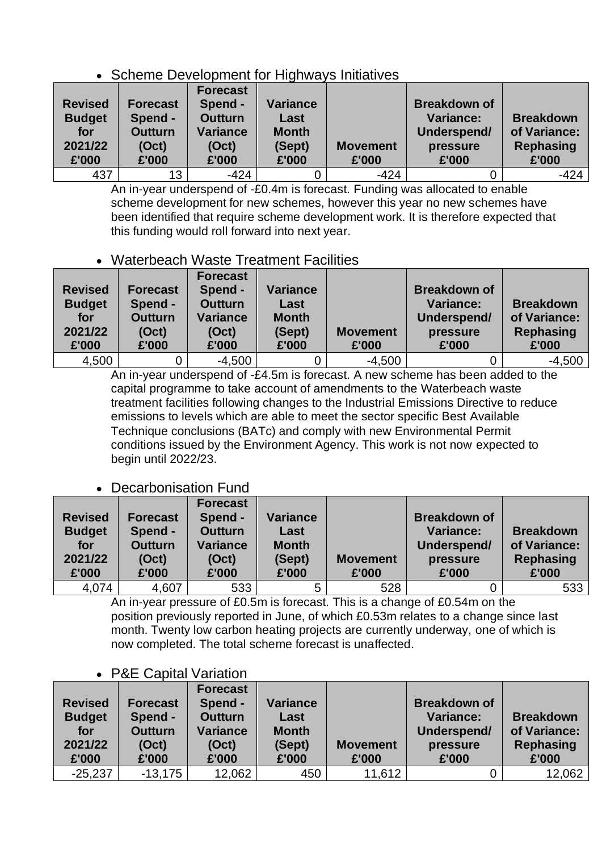## • Scheme Development for Highways Initiatives

| <b>Revised</b><br><b>Budget</b><br>for<br>2021/22<br>£'000 | <b>Forecast</b><br>Spend -<br><b>Outturn</b><br>(Oct)<br>£'000 | <b>Forecast</b><br>Spend -<br><b>Outturn</b><br><b>Variance</b><br>(Oct)<br>£'000 | <b>Variance</b><br>Last<br><b>Month</b><br>(Sept)<br>£'000 | <b>Movement</b><br>£'000 | <b>Breakdown of</b><br><b>Variance:</b><br>Underspend/<br>pressure<br>£'000 | <b>Breakdown</b><br>of Variance:<br><b>Rephasing</b><br>£'000 |
|------------------------------------------------------------|----------------------------------------------------------------|-----------------------------------------------------------------------------------|------------------------------------------------------------|--------------------------|-----------------------------------------------------------------------------|---------------------------------------------------------------|
| 437                                                        | 13                                                             | $-424$                                                                            |                                                            | $-424$                   |                                                                             | $-424$                                                        |

An in-year underspend of -£0.4m is forecast. Funding was allocated to enable scheme development for new schemes, however this year no new schemes have been identified that require scheme development work. It is therefore expected that this funding would roll forward into next year.

## • Waterbeach Waste Treatment Facilities

| <b>Revised</b><br><b>Budget</b><br>for<br>2021/22<br>£'000 | Forecast<br>Spend -<br><b>Outturn</b><br>(Oct)<br>£'000 | <b>Forecast</b><br>Spend -<br><b>Outturn</b><br>Variance<br>(Oct)<br>£'000 | <b>Variance</b><br>Last<br><b>Month</b><br>(Sept)<br>£'000 | <b>Movement</b><br>£'000 | <b>Breakdown of</b><br><b>Variance:</b><br>Underspend/<br>pressure<br>£'000 | <b>Breakdown</b><br>of Variance:<br><b>Rephasing</b><br>£'000 |
|------------------------------------------------------------|---------------------------------------------------------|----------------------------------------------------------------------------|------------------------------------------------------------|--------------------------|-----------------------------------------------------------------------------|---------------------------------------------------------------|
| 4,500                                                      |                                                         | $-4,500$                                                                   |                                                            | $-4,500$                 |                                                                             | $-4,500$                                                      |

An in-year underspend of -£4.5m is forecast. A new scheme has been added to the capital programme to take account of amendments to the Waterbeach waste treatment facilities following changes to the Industrial Emissions Directive to reduce emissions to levels which are able to meet the sector specific Best Available Technique conclusions (BATc) and comply with new Environmental Permit conditions issued by the Environment Agency. This work is not now expected to begin until 2022/23.

## • Decarbonisation Fund

| <b>Revised</b><br><b>Budget</b><br>for<br>2021/22<br>£'000 | <b>Forecast</b><br>Spend -<br><b>Outturn</b><br>(Oct)<br>£'000 | <b>Forecast</b><br>Spend -<br><b>Outturn</b><br><b>Variance</b><br>(Oct)<br>£'000 | <b>Variance</b><br>Last<br><b>Month</b><br>(Sept)<br>£'000 | <b>Movement</b><br>£'000 | <b>Breakdown of</b><br><b>Variance:</b><br>Underspend/<br>pressure<br>£'000 | <b>Breakdown</b><br>of Variance:<br><b>Rephasing</b><br>£'000 |
|------------------------------------------------------------|----------------------------------------------------------------|-----------------------------------------------------------------------------------|------------------------------------------------------------|--------------------------|-----------------------------------------------------------------------------|---------------------------------------------------------------|
| 4,074                                                      | 4,607                                                          | 533                                                                               | 5                                                          | 528                      |                                                                             | 533                                                           |

An in-year pressure of £0.5m is forecast. This is a change of £0.54m on the position previously reported in June, of which £0.53m relates to a change since last month. Twenty low carbon heating projects are currently underway, one of which is now completed. The total scheme forecast is unaffected.

## • P&E Capital Variation

| <b>Revised</b><br><b>Budget</b><br>for<br>2021/22<br>£'000 | <b>Forecast</b><br>Spend -<br><b>Outturn</b><br>(Oct)<br>£'000 | <b>Forecast</b><br>Spend -<br><b>Outturn</b><br><b>Variance</b><br>(Oct)<br>£'000 | <b>Variance</b><br>Last<br><b>Month</b><br>(Sept)<br>£'000 | <b>Movement</b><br>£'000 | <b>Breakdown of</b><br><b>Variance:</b><br>Underspend/<br>pressure<br>£'000 | <b>Breakdown</b><br>of Variance:<br><b>Rephasing</b><br>£'000 |
|------------------------------------------------------------|----------------------------------------------------------------|-----------------------------------------------------------------------------------|------------------------------------------------------------|--------------------------|-----------------------------------------------------------------------------|---------------------------------------------------------------|
| $-25,237$                                                  | $-13,175$                                                      | 12,062                                                                            | 450                                                        | 11,612                   |                                                                             | 12,062                                                        |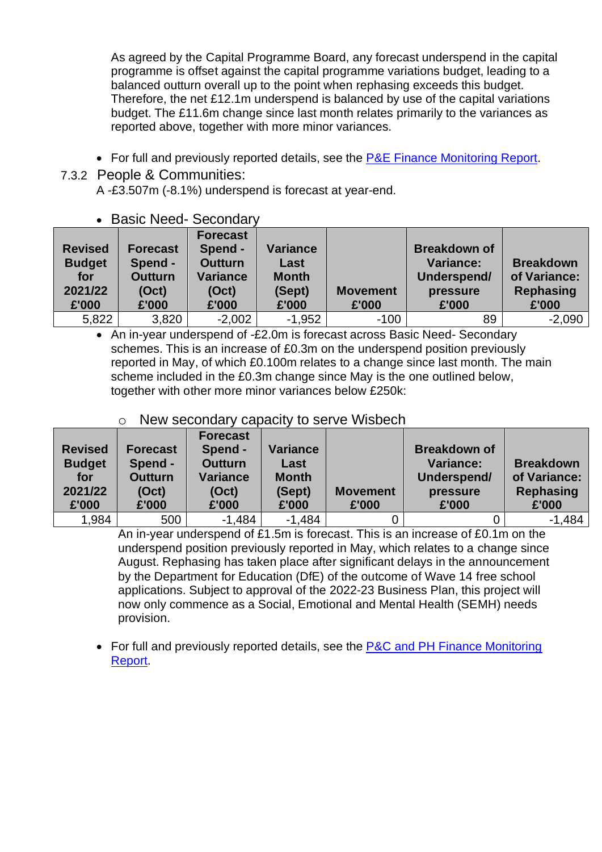As agreed by the Capital Programme Board, any forecast underspend in the capital programme is offset against the capital programme variations budget, leading to a balanced outturn overall up to the point when rephasing exceeds this budget. Therefore, the net £12.1m underspend is balanced by use of the capital variations budget. The £11.6m change since last month relates primarily to the variances as reported above, together with more minor variances.

• For full and previously reported details, see the [P&E Finance Monitoring Report.](https://www.cambridgeshire.gov.uk/asset-library/place-and-economy-finance-monitoring-report-october-2021-v3.pdf)

## 7.3.2 People & Communities:

A -£3.507m (-8.1%) underspend is forecast at year-end.

| <b>Revised</b><br><b>Budget</b><br>for<br>2021/22<br>£'000 | <b>Forecast</b><br>Spend -<br><b>Outturn</b><br>(Oct)<br>£'000 | <b>Forecast</b><br>Spend -<br><b>Outturn</b><br><b>Variance</b><br>(Oct)<br>£'000 | <b>Variance</b><br>Last<br><b>Month</b><br>(Sept)<br>£'000 | <b>Movement</b><br>£'000 | <b>Breakdown of</b><br><b>Variance:</b><br>Underspend/<br>pressure<br>£'000 | <b>Breakdown</b><br>of Variance:<br><b>Rephasing</b><br>£'000 |
|------------------------------------------------------------|----------------------------------------------------------------|-----------------------------------------------------------------------------------|------------------------------------------------------------|--------------------------|-----------------------------------------------------------------------------|---------------------------------------------------------------|
| 5,822                                                      | 3,820                                                          | $-2,002$                                                                          | $-1,952$                                                   | $-100$                   | 89                                                                          | $-2,090$                                                      |

• An in-year underspend of -£2.0m is forecast across Basic Need- Secondary schemes. This is an increase of £0.3m on the underspend position previously reported in May, of which £0.100m relates to a change since last month. The main scheme included in the £0.3m change since May is the one outlined below, together with other more minor variances below £250k:

## o New secondary capacity to serve Wisbech

| <b>Revised</b><br><b>Budget</b><br>for<br>2021/22<br>£'000 | <b>Forecast</b><br>Spend -<br><b>Outturn</b><br>(Oct)<br>£'000 | <b>Forecast</b><br>Spend -<br><b>Outturn</b><br><b>Variance</b><br>(Oct)<br>£'000 | <b>Variance</b><br>Last<br><b>Month</b><br>(Sept)<br>£'000 | <b>Movement</b><br>£'000 | <b>Breakdown of</b><br><b>Variance:</b><br>Underspend/<br>pressure<br>£'000 | <b>Breakdown</b><br>of Variance:<br>Rephasing<br>£'000 |
|------------------------------------------------------------|----------------------------------------------------------------|-----------------------------------------------------------------------------------|------------------------------------------------------------|--------------------------|-----------------------------------------------------------------------------|--------------------------------------------------------|
| 1,984                                                      | 500                                                            | $-1,484$                                                                          | $-1,484$                                                   |                          |                                                                             | $-1,484$                                               |

An in-year underspend of £1.5m is forecast. This is an increase of £0.1m on the underspend position previously reported in May, which relates to a change since August. Rephasing has taken place after significant delays in the announcement by the Department for Education (DfE) of the outcome of Wave 14 free school applications. Subject to approval of the 2022-23 Business Plan, this project will now only commence as a Social, Emotional and Mental Health (SEMH) needs provision.

• For full and previously reported details, see the P&C and PH Finance Monitoring [Report.](https://www.cambridgeshire.gov.uk/asset-library/people-and-communities-and-public-health-finance-monitoring-report-october-2021.pdf)

#### • Basic Need- Secondary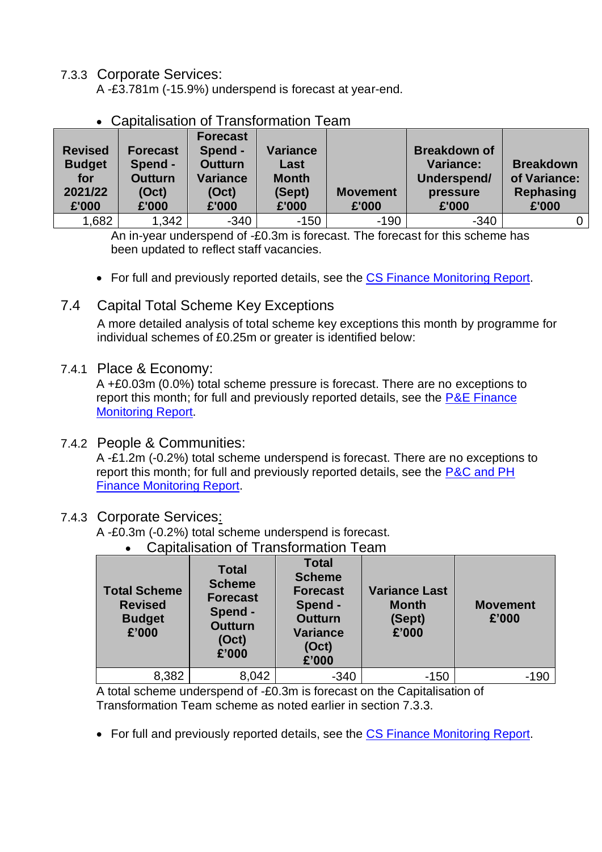7.3.3 Corporate Services:

A -£3.781m (-15.9%) underspend is forecast at year-end.

| <b>Revised</b><br><b>Budget</b><br>for<br>2021/22<br>£'000 | <b>Forecast</b><br>Spend -<br><b>Outturn</b><br>(Oct)<br>£'000 | <b>Forecast</b><br>Spend -<br><b>Outturn</b><br><b>Variance</b><br>(Oct)<br>£'000 | <b>Variance</b><br>Last<br><b>Month</b><br>(Sept)<br>£'000 | <b>Movement</b><br>£'000 | <b>Breakdown of</b><br><b>Variance:</b><br>Underspend/<br>pressure<br>£'000 | <b>Breakdown</b><br>of Variance:<br><b>Rephasing</b><br>£'000 |
|------------------------------------------------------------|----------------------------------------------------------------|-----------------------------------------------------------------------------------|------------------------------------------------------------|--------------------------|-----------------------------------------------------------------------------|---------------------------------------------------------------|
| 1,682                                                      | 1,342                                                          | $-340$                                                                            | $-150$                                                     | $-190$                   | $-340$                                                                      |                                                               |

• Capitalisation of Transformation Team

An in-year underspend of -£0.3m is forecast. The forecast for this scheme has been updated to reflect staff vacancies.

• For full and previously reported details, see the [CS Finance Monitoring Report.](https://www.cambridgeshire.gov.uk/asset-library/corporate-services-finance-monitoring-report-october-2021.pdf)

## 7.4 Capital Total Scheme Key Exceptions

A more detailed analysis of total scheme key exceptions this month by programme for individual schemes of £0.25m or greater is identified below:

#### 7.4.1 Place & Economy:

A +£0.03m (0.0%) total scheme pressure is forecast. There are no exceptions to report this month; for full and previously reported details, see the  $P\&E$  Finance [Monitoring Report.](https://www.cambridgeshire.gov.uk/asset-library/place-and-economy-finance-monitoring-report-october-2021-v3.pdf)

#### 7.4.2 People & Communities:

A -£1.2m (-0.2%) total scheme underspend is forecast. There are no exceptions to report this month; for full and previously reported details, see the P&C and PH [Finance Monitoring Report.](https://www.cambridgeshire.gov.uk/asset-library/people-and-communities-and-public-health-finance-monitoring-report-october-2021.pdf)

#### 7.4.3 Corporate Services:

A -£0.3m (-0.2%) total scheme underspend is forecast.

• Capitalisation of Transformation Team

| <b>Total Scheme</b><br><b>Revised</b><br><b>Budget</b><br>£'000 | <b>Total</b><br><b>Scheme</b><br><b>Forecast</b><br>Spend -<br><b>Outturn</b><br>(Oct)<br>£'000 | <b>Total</b><br><b>Scheme</b><br><b>Forecast</b><br>Spend -<br><b>Outturn</b><br><b>Variance</b><br>(Oct)<br>£'000 | <b>Variance Last</b><br><b>Month</b><br>(Sept)<br>£'000 | <b>Movement</b><br>£'000 |
|-----------------------------------------------------------------|-------------------------------------------------------------------------------------------------|--------------------------------------------------------------------------------------------------------------------|---------------------------------------------------------|--------------------------|
| 8,382                                                           | 8,042                                                                                           | $-340$                                                                                                             | $-150$                                                  | -190                     |

A total scheme underspend of -£0.3m is forecast on the Capitalisation of Transformation Team scheme as noted earlier in section 7.3.3.

• For full and previously reported details, see the [CS Finance Monitoring Report.](https://www.cambridgeshire.gov.uk/asset-library/corporate-services-finance-monitoring-report-october-2021.pdf)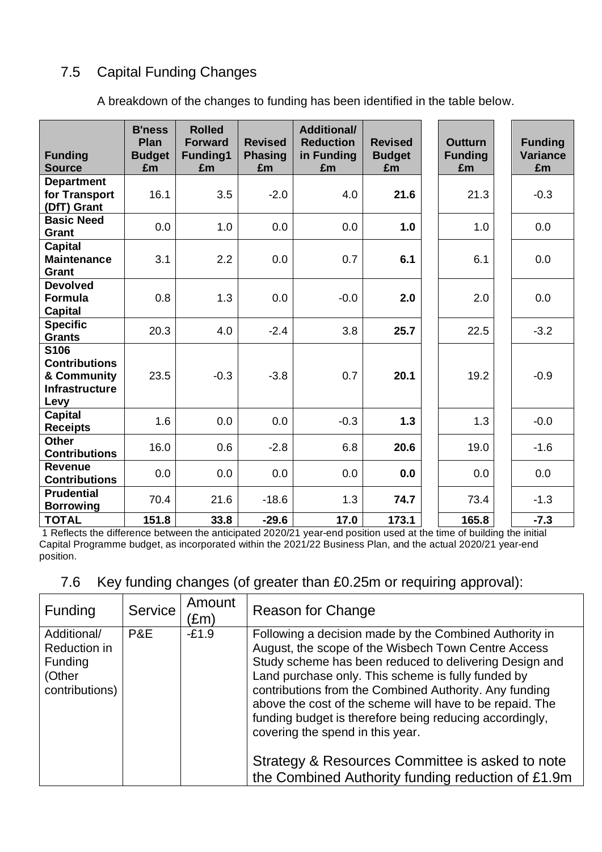## 7.5 Capital Funding Changes

A breakdown of the changes to funding has been identified in the table below.

| <b>Funding</b><br><b>Source</b>                                              | <b>B'ness</b><br>Plan<br><b>Budget</b><br>£m | <b>Rolled</b><br><b>Forward</b><br>Funding1<br>£m | <b>Revised</b><br><b>Phasing</b><br>£m | <b>Additional/</b><br><b>Reduction</b><br>in Funding<br>£m | <b>Revised</b><br><b>Budget</b><br>£m | <b>Outturn</b><br><b>Funding</b><br>£m | <b>Funding</b><br><b>Variance</b><br>£m |
|------------------------------------------------------------------------------|----------------------------------------------|---------------------------------------------------|----------------------------------------|------------------------------------------------------------|---------------------------------------|----------------------------------------|-----------------------------------------|
| <b>Department</b><br>for Transport<br>(DfT) Grant                            | 16.1                                         | 3.5                                               | $-2.0$                                 | 4.0                                                        | 21.6                                  | 21.3                                   | $-0.3$                                  |
| <b>Basic Need</b><br>Grant                                                   | 0.0                                          | 1.0                                               | 0.0                                    | 0.0                                                        | 1.0                                   | 1.0                                    | 0.0                                     |
| <b>Capital</b><br><b>Maintenance</b><br>Grant                                | 3.1                                          | 2.2                                               | 0.0                                    | 0.7                                                        | 6.1                                   | 6.1                                    | 0.0                                     |
| <b>Devolved</b><br><b>Formula</b><br>Capital                                 | 0.8                                          | 1.3                                               | 0.0                                    | $-0.0$                                                     | 2.0                                   | 2.0                                    | 0.0                                     |
| <b>Specific</b><br><b>Grants</b>                                             | 20.3                                         | 4.0                                               | $-2.4$                                 | 3.8                                                        | 25.7                                  | 22.5                                   | $-3.2$                                  |
| S106<br><b>Contributions</b><br>& Community<br><b>Infrastructure</b><br>Levy | 23.5                                         | $-0.3$                                            | $-3.8$                                 | 0.7                                                        | 20.1                                  | 19.2                                   | $-0.9$                                  |
| <b>Capital</b><br><b>Receipts</b>                                            | 1.6                                          | 0.0                                               | 0.0                                    | $-0.3$                                                     | 1.3                                   | 1.3                                    | $-0.0$                                  |
| <b>Other</b><br><b>Contributions</b>                                         | 16.0                                         | 0.6                                               | $-2.8$                                 | 6.8                                                        | 20.6                                  | 19.0                                   | $-1.6$                                  |
| <b>Revenue</b><br><b>Contributions</b>                                       | 0.0                                          | 0.0                                               | 0.0                                    | 0.0                                                        | 0.0                                   | 0.0                                    | 0.0                                     |
| <b>Prudential</b><br><b>Borrowing</b>                                        | 70.4                                         | 21.6                                              | $-18.6$                                | 1.3                                                        | 74.7                                  | 73.4                                   | $-1.3$                                  |
| <b>TOTAL</b>                                                                 | 151.8                                        | 33.8                                              | $-29.6$                                | 17.0                                                       | 173.1                                 | 165.8                                  | $-7.3$                                  |

1 Reflects the difference between the anticipated 2020/21 year-end position used at the time of building the initial Capital Programme budget, as incorporated within the 2021/22 Business Plan, and the actual 2020/21 year-end position.

## 7.6 Key funding changes (of greater than £0.25m or requiring approval):

| <b>Funding</b>                                                     | Service | Amount<br>(£m) | Reason for Change                                                                                                                                                                                                                                                                                                                                                                                                                                  |
|--------------------------------------------------------------------|---------|----------------|----------------------------------------------------------------------------------------------------------------------------------------------------------------------------------------------------------------------------------------------------------------------------------------------------------------------------------------------------------------------------------------------------------------------------------------------------|
| Additional/<br>Reduction in<br>Funding<br>(Other<br>contributions) | P&E     | $-E1.9$        | Following a decision made by the Combined Authority in<br>August, the scope of the Wisbech Town Centre Access<br>Study scheme has been reduced to delivering Design and<br>Land purchase only. This scheme is fully funded by<br>contributions from the Combined Authority. Any funding<br>above the cost of the scheme will have to be repaid. The<br>funding budget is therefore being reducing accordingly,<br>covering the spend in this year. |
|                                                                    |         |                | Strategy & Resources Committee is asked to note<br>the Combined Authority funding reduction of £1.9m                                                                                                                                                                                                                                                                                                                                               |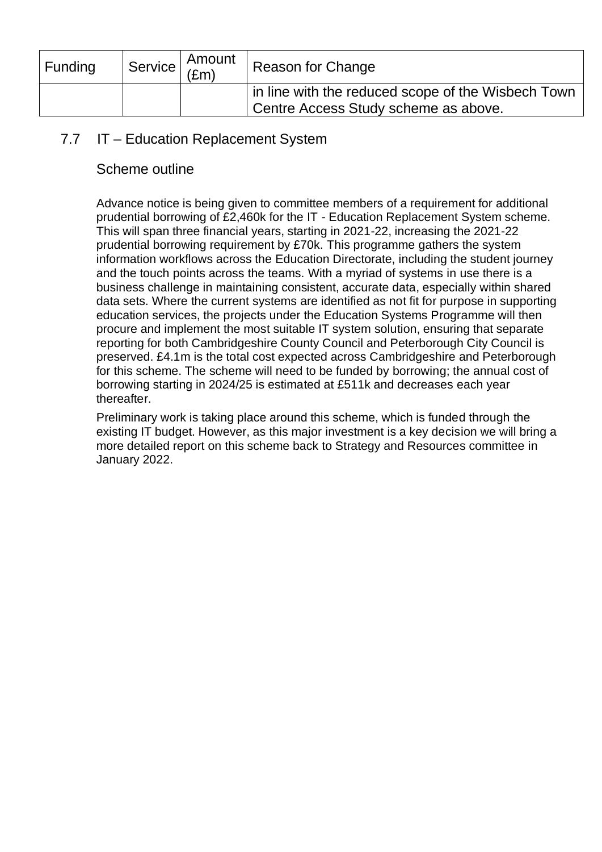| <b>Funding</b> | Amount<br>$\sim$ Service $\left  \frac{1}{2m} \right $ | <b>Reason for Change</b>                                                                   |
|----------------|--------------------------------------------------------|--------------------------------------------------------------------------------------------|
|                |                                                        | in line with the reduced scope of the Wisbech Town<br>Centre Access Study scheme as above. |

## 7.7 IT – Education Replacement System

## Scheme outline

Advance notice is being given to committee members of a requirement for additional prudential borrowing of £2,460k for the IT - Education Replacement System scheme. This will span three financial years, starting in 2021-22, increasing the 2021-22 prudential borrowing requirement by £70k. This programme gathers the system information workflows across the Education Directorate, including the student journey and the touch points across the teams. With a myriad of systems in use there is a business challenge in maintaining consistent, accurate data, especially within shared data sets. Where the current systems are identified as not fit for purpose in supporting education services, the projects under the Education Systems Programme will then procure and implement the most suitable IT system solution, ensuring that separate reporting for both Cambridgeshire County Council and Peterborough City Council is preserved. £4.1m is the total cost expected across Cambridgeshire and Peterborough for this scheme. The scheme will need to be funded by borrowing; the annual cost of borrowing starting in 2024/25 is estimated at £511k and decreases each year thereafter.

Preliminary work is taking place around this scheme, which is funded through the existing IT budget. However, as this major investment is a key decision we will bring a more detailed report on this scheme back to Strategy and Resources committee in January 2022.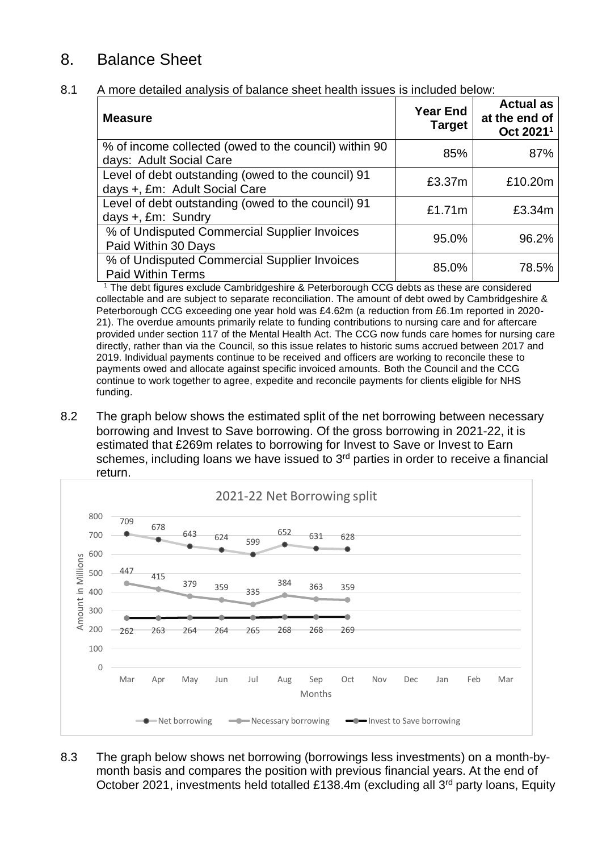## 8. Balance Sheet

#### 8.1 A more detailed analysis of balance sheet health issues is included below:

| <b>Measure</b>                                                                      | <b>Year End</b><br><b>Target</b> | <b>Actual as</b><br>at the end of<br>Oct 2021 <sup>1</sup> |
|-------------------------------------------------------------------------------------|----------------------------------|------------------------------------------------------------|
| % of income collected (owed to the council) within 90<br>days: Adult Social Care    | 85%                              | 87%                                                        |
| Level of debt outstanding (owed to the council) 91<br>days +, £m: Adult Social Care | £3.37m                           | £10.20m                                                    |
| Level of debt outstanding (owed to the council) 91<br>days +, £m: Sundry            | £1.71m                           | £3.34m                                                     |
| % of Undisputed Commercial Supplier Invoices<br>Paid Within 30 Days                 | 95.0%                            | 96.2%                                                      |
| % of Undisputed Commercial Supplier Invoices<br><b>Paid Within Terms</b>            | 85.0%                            | 78.5%                                                      |

<sup>1</sup> The debt figures exclude Cambridgeshire & Peterborough CCG debts as these are considered collectable and are subject to separate reconciliation. The amount of debt owed by Cambridgeshire & Peterborough CCG exceeding one year hold was £4.62m (a reduction from £6.1m reported in 2020- 21). The overdue amounts primarily relate to funding contributions to nursing care and for aftercare provided under section 117 of the Mental Health Act. The CCG now funds care homes for nursing care directly, rather than via the Council, so this issue relates to historic sums accrued between 2017 and 2019. Individual payments continue to be received and officers are working to reconcile these to payments owed and allocate against specific invoiced amounts. Both the Council and the CCG continue to work together to agree, expedite and reconcile payments for clients eligible for NHS funding.

8.2 The graph below shows the estimated split of the net borrowing between necessary borrowing and Invest to Save borrowing. Of the gross borrowing in 2021-22, it is estimated that £269m relates to borrowing for Invest to Save or Invest to Earn schemes, including loans we have issued to  $3<sup>rd</sup>$  parties in order to receive a financial return.



8.3 The graph below shows net borrowing (borrowings less investments) on a month-bymonth basis and compares the position with previous financial years. At the end of October 2021, investments held totalled £138.4m (excluding all 3<sup>rd</sup> party loans, Equity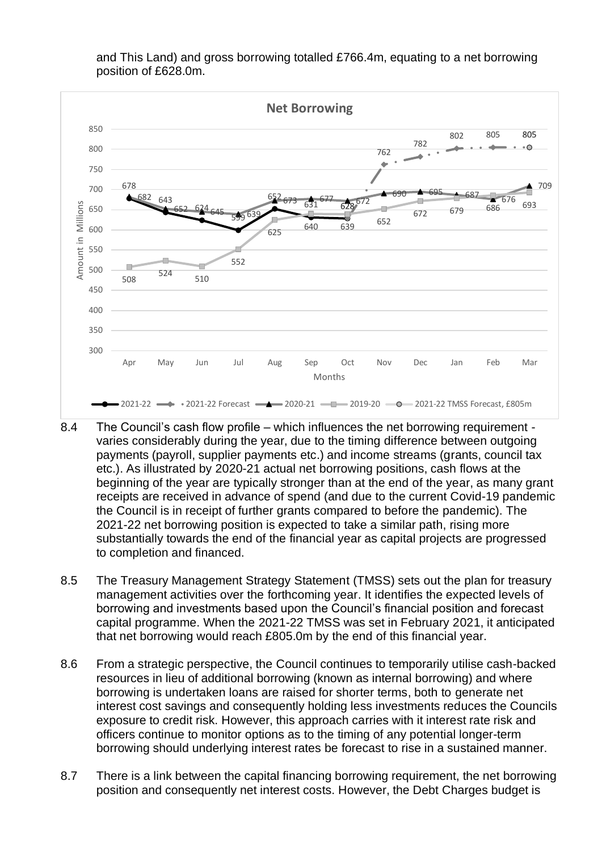

and This Land) and gross borrowing totalled £766.4m, equating to a net borrowing position of £628.0m.

- 8.4 The Council's cash flow profile which influences the net borrowing requirement varies considerably during the year, due to the timing difference between outgoing payments (payroll, supplier payments etc.) and income streams (grants, council tax etc.). As illustrated by 2020-21 actual net borrowing positions, cash flows at the beginning of the year are typically stronger than at the end of the year, as many grant receipts are received in advance of spend (and due to the current Covid-19 pandemic the Council is in receipt of further grants compared to before the pandemic). The 2021-22 net borrowing position is expected to take a similar path, rising more substantially towards the end of the financial year as capital projects are progressed to completion and financed.
- 8.5 The Treasury Management Strategy Statement (TMSS) sets out the plan for treasury management activities over the forthcoming year. It identifies the expected levels of borrowing and investments based upon the Council's financial position and forecast capital programme. When the 2021-22 TMSS was set in February 2021, it anticipated that net borrowing would reach £805.0m by the end of this financial year.
- 8.6 From a strategic perspective, the Council continues to temporarily utilise cash-backed resources in lieu of additional borrowing (known as internal borrowing) and where borrowing is undertaken loans are raised for shorter terms, both to generate net interest cost savings and consequently holding less investments reduces the Councils exposure to credit risk. However, this approach carries with it interest rate risk and officers continue to monitor options as to the timing of any potential longer-term borrowing should underlying interest rates be forecast to rise in a sustained manner.
- 8.7 There is a link between the capital financing borrowing requirement, the net borrowing position and consequently net interest costs. However, the Debt Charges budget is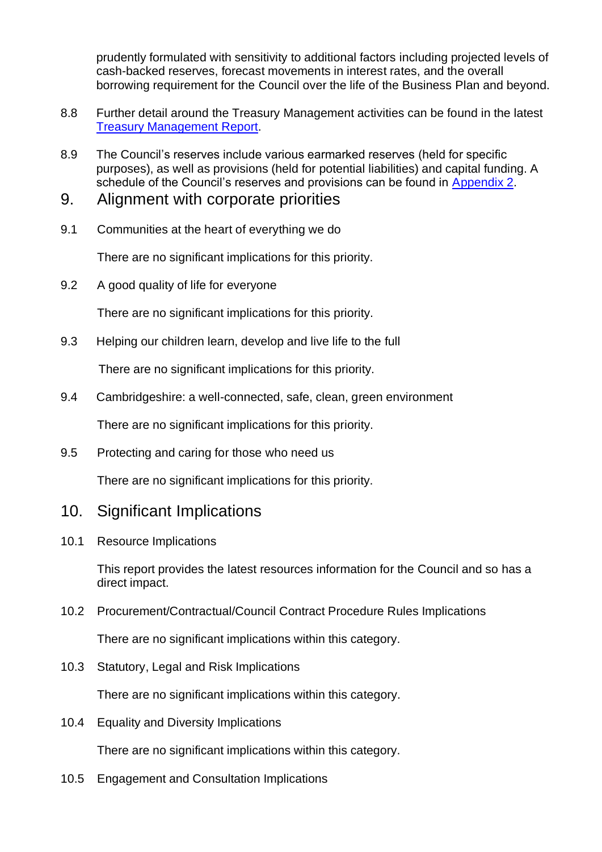prudently formulated with sensitivity to additional factors including projected levels of cash-backed reserves, forecast movements in interest rates, and the overall borrowing requirement for the Council over the life of the Business Plan and beyond.

- 8.8 Further detail around the Treasury Management activities can be found in the latest [Treasury Management Report.](https://cambridgeshire.cmis.uk.com/CCC_live/Document.ashx?czJKcaeAi5tUFL1DTL2UE4zNRBcoShgo=UFsL63wEJ%2flfZgTRLoeD6IeM2XcCmTTRqNFTF0JPNFIzDlN0j5bjuw%3d%3d&rUzwRPf%2bZ3zd4E7Ikn8Lyw%3d%3d=pwRE6AGJFLDNlh225F5QMaQWCtPHwdhUfCZ%2fLUQzgA2uL5jNRG4jdQ%3d%3d&mCTIbCubSFfXsDGW9IXnlg%3d%3d=hFflUdN3100%3d&kCx1AnS9%2fpWZQ40DXFvdEw%3d%3d=hFflUdN3100%3d&uJovDxwdjMPoYv%2bAJvYtyA%3d%3d=ctNJFf55vVA%3d&FgPlIEJYlotS%2bYGoBi5olA%3d%3d=NHdURQburHA%3d&d9Qjj0ag1Pd993jsyOJqFvmyB7X0CSQK=ctNJFf55vVA%3d&WGewmoAfeNR9xqBux0r1Q8Za60lavYmz=ctNJFf55vVA%3d&WGewmoAfeNQ16B2MHuCpMRKZMwaG1PaO=ctNJFf55vVA%3d)
- 8.9 The Council's reserves include various earmarked reserves (held for specific purposes), as well as provisions (held for potential liabilities) and capital funding. A schedule of the Council's reserves and provisions can be found in [Appendix 2.](#page-28-0)
- 9. Alignment with corporate priorities
- 9.1 Communities at the heart of everything we do

There are no significant implications for this priority.

9.2 A good quality of life for everyone

There are no significant implications for this priority.

9.3 Helping our children learn, develop and live life to the full

There are no significant implications for this priority.

9.4 Cambridgeshire: a well-connected, safe, clean, green environment

There are no significant implications for this priority.

9.5 Protecting and caring for those who need us

There are no significant implications for this priority.

## 10. Significant Implications

10.1 Resource Implications

This report provides the latest resources information for the Council and so has a direct impact.

10.2 Procurement/Contractual/Council Contract Procedure Rules Implications

There are no significant implications within this category.

10.3 Statutory, Legal and Risk Implications

There are no significant implications within this category.

10.4 Equality and Diversity Implications

There are no significant implications within this category.

10.5 Engagement and Consultation Implications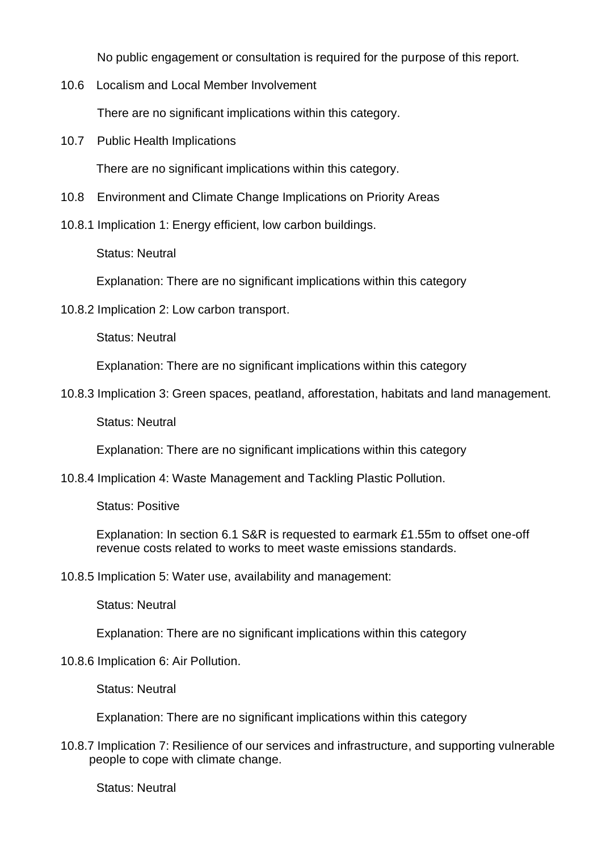No public engagement or consultation is required for the purpose of this report.

10.6 Localism and Local Member Involvement

There are no significant implications within this category.

10.7 Public Health Implications

There are no significant implications within this category.

- 10.8 Environment and Climate Change Implications on Priority Areas
- 10.8.1 Implication 1: Energy efficient, low carbon buildings.

Status: Neutral

Explanation: There are no significant implications within this category

10.8.2 Implication 2: Low carbon transport.

Status: Neutral

Explanation: There are no significant implications within this category

10.8.3 Implication 3: Green spaces, peatland, afforestation, habitats and land management.

Status: Neutral

Explanation: There are no significant implications within this category

10.8.4 Implication 4: Waste Management and Tackling Plastic Pollution.

Status: Positive

Explanation: In section 6.1 S&R is requested to earmark £1.55m to offset one-off revenue costs related to works to meet waste emissions standards.

10.8.5 Implication 5: Water use, availability and management:

Status: Neutral

Explanation: There are no significant implications within this category

#### 10.8.6 Implication 6: Air Pollution.

Status: Neutral

Explanation: There are no significant implications within this category

10.8.7 Implication 7: Resilience of our services and infrastructure, and supporting vulnerable people to cope with climate change.

Status: Neutral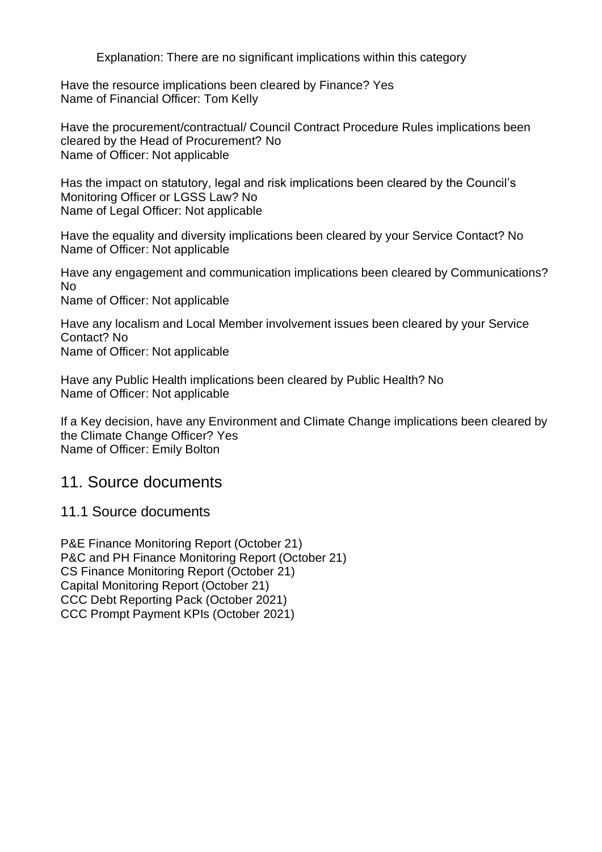Explanation: There are no significant implications within this category

Have the resource implications been cleared by Finance? Yes Name of Financial Officer: Tom Kelly

Have the procurement/contractual/ Council Contract Procedure Rules implications been cleared by the Head of Procurement? No Name of Officer: Not applicable

Has the impact on statutory, legal and risk implications been cleared by the Council's Monitoring Officer or LGSS Law? No Name of Legal Officer: Not applicable

Have the equality and diversity implications been cleared by your Service Contact? No Name of Officer: Not applicable

Have any engagement and communication implications been cleared by Communications? No

Name of Officer: Not applicable

Have any localism and Local Member involvement issues been cleared by your Service Contact? No Name of Officer: Not applicable

Have any Public Health implications been cleared by Public Health? No Name of Officer: Not applicable

If a Key decision, have any Environment and Climate Change implications been cleared by the Climate Change Officer? Yes Name of Officer: Emily Bolton

## 11. Source documents

11.1 Source documents

P&E Finance Monitoring Report (October 21) P&C and PH Finance Monitoring Report (October 21) CS Finance Monitoring Report (October 21) Capital Monitoring Report (October 21) CCC Debt Reporting Pack (October 2021) CCC Prompt Payment KPIs (October 2021)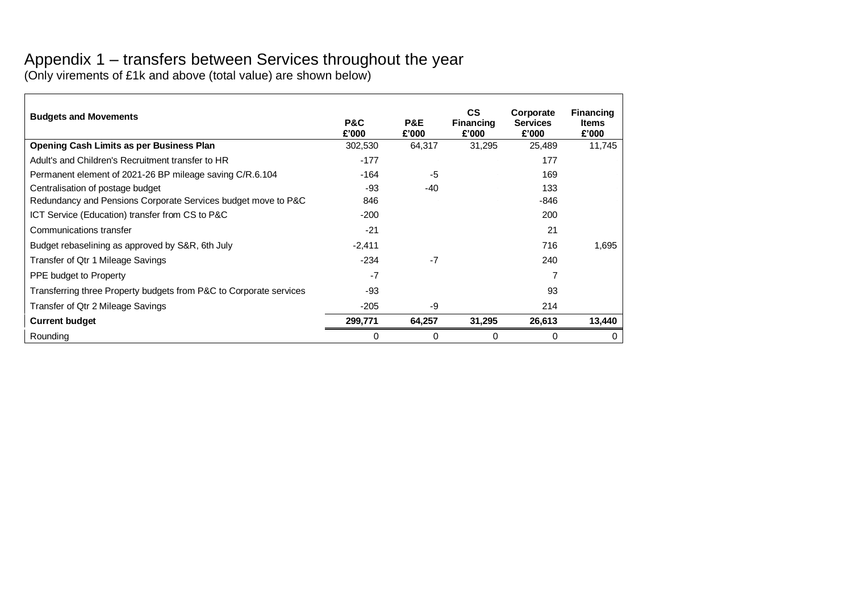## Appendix 1 – transfers between Services throughout the year

(Only virements of £1k and above (total value) are shown below)

<span id="page-27-0"></span>

| <b>Budgets and Movements</b>                                       | P&C<br>£'000 | P&E<br>£'000 | $\mathsf{cs}$<br><b>Financing</b><br>£'000 | Corporate<br><b>Services</b><br>£'000 | <b>Financing</b><br><b>Items</b><br>£'000 |
|--------------------------------------------------------------------|--------------|--------------|--------------------------------------------|---------------------------------------|-------------------------------------------|
| <b>Opening Cash Limits as per Business Plan</b>                    | 302,530      | 64,317       | 31,295                                     | 25,489                                | 11,745                                    |
| Adult's and Children's Recruitment transfer to HR                  | -177         |              |                                            | 177                                   |                                           |
| Permanent element of 2021-26 BP mileage saving C/R.6.104           | -164         | -5           |                                            | 169                                   |                                           |
| Centralisation of postage budget                                   | -93          | -40          |                                            | 133                                   |                                           |
| Redundancy and Pensions Corporate Services budget move to P&C      | 846          |              |                                            | -846                                  |                                           |
| ICT Service (Education) transfer from CS to P&C                    | $-200$       |              |                                            | 200                                   |                                           |
| Communications transfer                                            | $-21$        |              |                                            | 21                                    |                                           |
| Budget rebaselining as approved by S&R, 6th July                   | $-2,411$     |              |                                            | 716                                   | 1,695                                     |
| Transfer of Qtr 1 Mileage Savings                                  | $-234$       | -7           |                                            | 240                                   |                                           |
| PPE budget to Property                                             | $-7$         |              |                                            |                                       |                                           |
| Transferring three Property budgets from P&C to Corporate services | -93          |              |                                            | 93                                    |                                           |
| Transfer of Qtr 2 Mileage Savings                                  | $-205$       | -9           |                                            | 214                                   |                                           |
| <b>Current budget</b>                                              | 299,771      | 64,257       | 31,295                                     | 26,613                                | 13,440                                    |
| Rounding                                                           | $\Omega$     | 0            | 0                                          | 0                                     | 0                                         |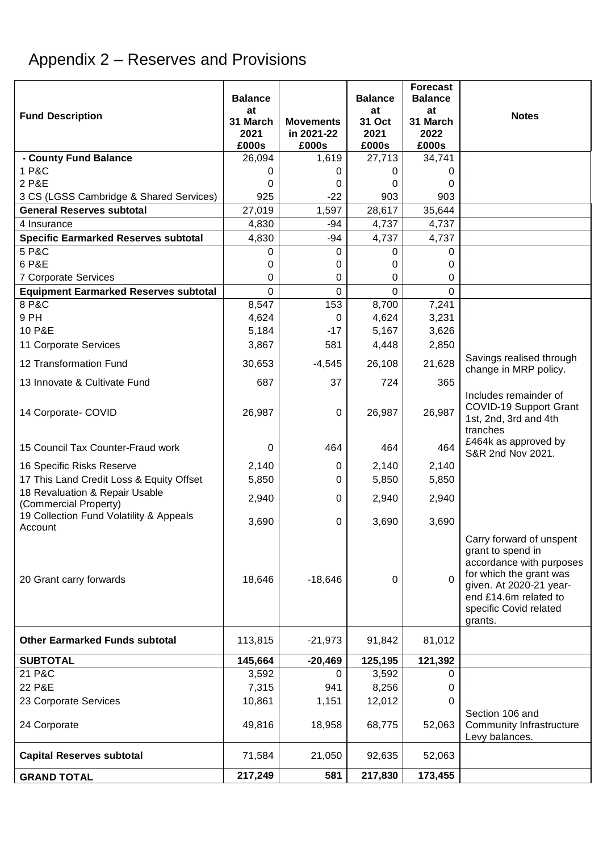# <span id="page-28-0"></span>Appendix 2 – Reserves and Provisions

| <b>Fund Description</b>                                 | <b>Balance</b><br>at      |                                         | <b>Balance</b><br>at    | <b>Forecast</b><br><b>Balance</b><br>at | <b>Notes</b>                                                                                                                                                                                  |
|---------------------------------------------------------|---------------------------|-----------------------------------------|-------------------------|-----------------------------------------|-----------------------------------------------------------------------------------------------------------------------------------------------------------------------------------------------|
|                                                         | 31 March<br>2021<br>£000s | <b>Movements</b><br>in 2021-22<br>£000s | 31 Oct<br>2021<br>£000s | 31 March<br>2022<br>£000s               |                                                                                                                                                                                               |
| - County Fund Balance                                   | 26,094                    | 1,619                                   | 27,713                  | 34,741                                  |                                                                                                                                                                                               |
| 1 P&C                                                   | 0                         | 0                                       | 0                       | 0                                       |                                                                                                                                                                                               |
| 2 P&E                                                   | 0                         | 0                                       | 0                       | 0                                       |                                                                                                                                                                                               |
| 3 CS (LGSS Cambridge & Shared Services)                 | 925                       | $-22$                                   | 903                     | 903                                     |                                                                                                                                                                                               |
| <b>General Reserves subtotal</b>                        | 27,019                    | 1,597                                   | 28,617                  | 35,644                                  |                                                                                                                                                                                               |
| 4 Insurance                                             | 4,830                     | -94                                     | 4,737                   | 4,737                                   |                                                                                                                                                                                               |
| <b>Specific Earmarked Reserves subtotal</b>             | 4,830                     | $-94$                                   | 4,737                   | 4,737                                   |                                                                                                                                                                                               |
| 5 P&C                                                   | 0                         | 0                                       | 0                       | 0                                       |                                                                                                                                                                                               |
| 6 P&E                                                   | 0                         | 0                                       | 0                       | 0                                       |                                                                                                                                                                                               |
| 7 Corporate Services                                    | 0                         | 0                                       | 0                       | 0                                       |                                                                                                                                                                                               |
| <b>Equipment Earmarked Reserves subtotal</b>            | $\Omega$                  | 0                                       | $\Omega$                | $\mathbf 0$                             |                                                                                                                                                                                               |
| 8 P&C                                                   | 8,547                     | 153                                     | 8,700                   | 7,241                                   |                                                                                                                                                                                               |
| 9 PH                                                    | 4,624                     | 0                                       | 4,624                   | 3,231                                   |                                                                                                                                                                                               |
| 10 P&E                                                  | 5,184                     | $-17$                                   | 5,167                   | 3,626                                   |                                                                                                                                                                                               |
| 11 Corporate Services                                   | 3,867                     | 581                                     | 4,448                   | 2,850                                   |                                                                                                                                                                                               |
| 12 Transformation Fund                                  | 30,653                    | $-4,545$                                | 26,108                  | 21,628                                  | Savings realised through<br>change in MRP policy.                                                                                                                                             |
| 13 Innovate & Cultivate Fund                            | 687                       | 37                                      | 724                     | 365                                     |                                                                                                                                                                                               |
| 14 Corporate- COVID                                     | 26,987                    | $\mathbf 0$                             | 26,987                  | 26,987                                  | Includes remainder of<br><b>COVID-19 Support Grant</b><br>1st, 2nd, 3rd and 4th<br>tranches                                                                                                   |
| 15 Council Tax Counter-Fraud work                       | 0                         | 464                                     | 464                     | 464                                     | £464k as approved by<br>S&R 2nd Nov 2021.                                                                                                                                                     |
| 16 Specific Risks Reserve                               | 2,140                     | 0                                       | 2,140                   | 2,140                                   |                                                                                                                                                                                               |
| 17 This Land Credit Loss & Equity Offset                | 5,850                     | 0                                       | 5,850                   | 5,850                                   |                                                                                                                                                                                               |
| 18 Revaluation & Repair Usable<br>(Commercial Property) | 2,940                     | 0                                       | 2,940                   | 2,940                                   |                                                                                                                                                                                               |
| 19 Collection Fund Volatility & Appeals<br>Account      | 3,690                     | 0                                       | 3,690                   | 3,690                                   |                                                                                                                                                                                               |
| 20 Grant carry forwards                                 | 18,646                    | $-18,646$                               | 0                       | $\Omega$                                | Carry forward of unspent<br>grant to spend in<br>accordance with purposes<br>for which the grant was<br>given. At 2020-21 year-<br>end £14.6m related to<br>specific Covid related<br>grants. |
| <b>Other Earmarked Funds subtotal</b>                   | 113,815                   | $-21,973$                               | 91,842                  | 81,012                                  |                                                                                                                                                                                               |
| <b>SUBTOTAL</b>                                         | 145,664                   | $-20,469$                               | 125,195                 | 121,392                                 |                                                                                                                                                                                               |
| 21 P&C                                                  | 3,592                     | 0                                       | 3,592                   | 0                                       |                                                                                                                                                                                               |
| 22 P&E                                                  | 7,315                     | 941                                     | 8,256                   | 0                                       |                                                                                                                                                                                               |
| 23 Corporate Services                                   | 10,861                    | 1,151                                   | 12,012                  | 0                                       |                                                                                                                                                                                               |
| 24 Corporate                                            | 49,816                    | 18,958                                  | 68,775                  | 52,063                                  | Section 106 and<br>Community Infrastructure<br>Levy balances.                                                                                                                                 |
| <b>Capital Reserves subtotal</b>                        | 71,584                    | 21,050                                  | 92,635                  | 52,063                                  |                                                                                                                                                                                               |
| <b>GRAND TOTAL</b>                                      | 217,249                   | 581                                     | 217,830                 | 173,455                                 |                                                                                                                                                                                               |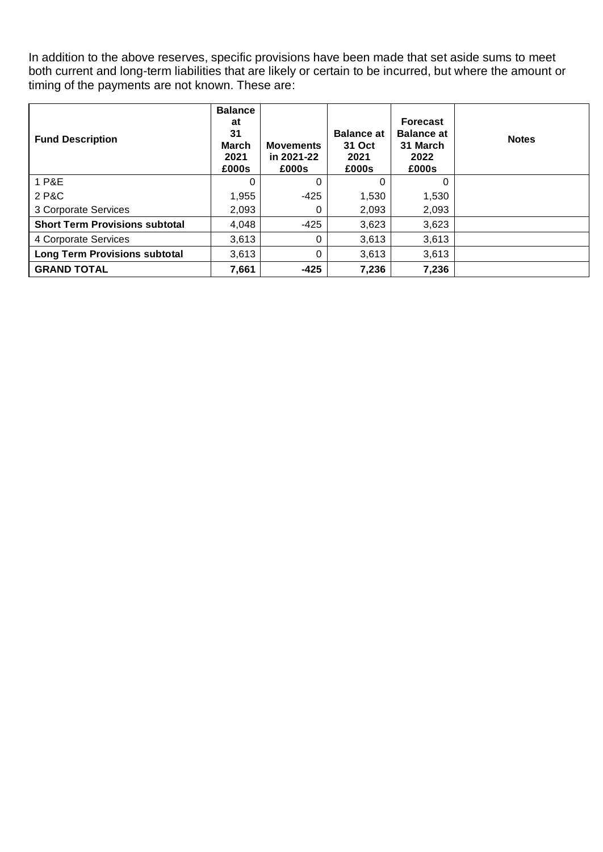In addition to the above reserves, specific provisions have been made that set aside sums to meet both current and long-term liabilities that are likely or certain to be incurred, but where the amount or timing of the payments are not known. These are:

| <b>Fund Description</b>               | <b>Balance</b><br>at<br>31<br><b>March</b><br>2021<br>£000s | <b>Movements</b><br>in 2021-22<br>£000s | <b>Balance at</b><br>31 Oct<br>2021<br>£000s | <b>Forecast</b><br><b>Balance at</b><br>31 March<br>2022<br>£000s | <b>Notes</b> |
|---------------------------------------|-------------------------------------------------------------|-----------------------------------------|----------------------------------------------|-------------------------------------------------------------------|--------------|
| 1 P&E                                 |                                                             | 0                                       | 0                                            | 0                                                                 |              |
| 2 P&C                                 | 1,955                                                       | -425                                    | 1,530                                        | 1,530                                                             |              |
| 3 Corporate Services                  | 2,093                                                       | 0                                       | 2,093                                        | 2,093                                                             |              |
| <b>Short Term Provisions subtotal</b> | 4,048                                                       | $-425$                                  | 3,623                                        | 3,623                                                             |              |
| 4 Corporate Services                  | 3,613                                                       | 0                                       | 3,613                                        | 3,613                                                             |              |
| <b>Long Term Provisions subtotal</b>  | 3,613                                                       | 0                                       | 3,613                                        | 3,613                                                             |              |
| <b>GRAND TOTAL</b>                    | 7,661                                                       | $-425$                                  | 7,236                                        | 7,236                                                             |              |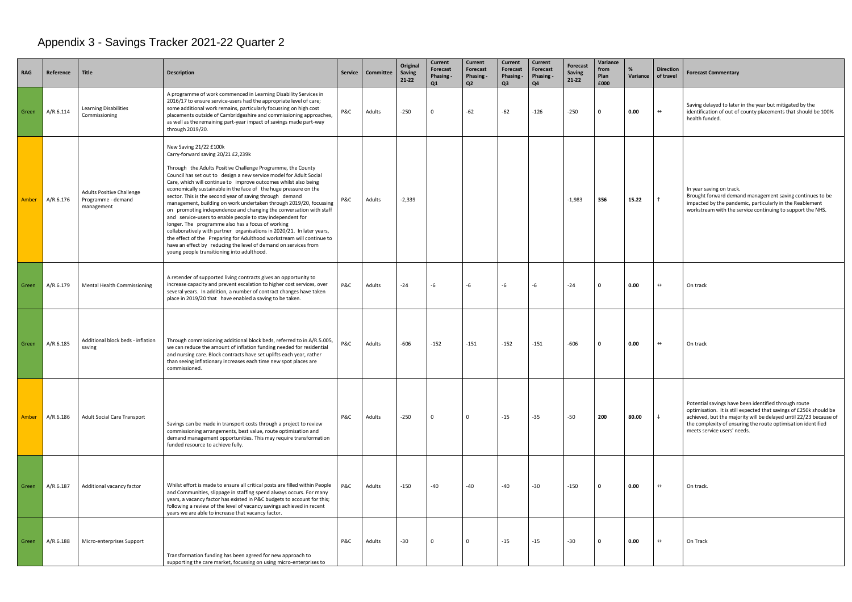# <span id="page-30-0"></span>Appendix 3 - Savings Tracker 2021-22 Quarter 2

| ıce | <b>Direction</b><br>of travel | <b>Forecast Commentary</b>                                                                                                                                                                                                                                                                     |
|-----|-------------------------------|------------------------------------------------------------------------------------------------------------------------------------------------------------------------------------------------------------------------------------------------------------------------------------------------|
|     | $\leftrightarrow$             | Saving delayed to later in the year but mitigated by the<br>identification of out of county placements that should be 100%<br>health funded.                                                                                                                                                   |
|     | ↑                             | In year saving on track.<br>Brought forward demand management saving continues to be<br>impacted by the pandemic, particularly in the Reablement<br>workstream with the service continuing to support the NHS.                                                                                 |
|     | $\leftrightarrow$             | On track                                                                                                                                                                                                                                                                                       |
|     | $\leftrightarrow$             | On track                                                                                                                                                                                                                                                                                       |
|     | ↓                             | Potential savings have been identified through route<br>optimisation. It is still expected that savings of £250k should be<br>achieved, but the majority will be delayed until 22/23 because of<br>the complexity of ensuring the route optimisation identified<br>meets service users' needs. |
|     | $\leftrightarrow$             | On track.                                                                                                                                                                                                                                                                                      |
|     | $\leftrightarrow$             | On Track                                                                                                                                                                                                                                                                                       |

| <b>RAG</b> | Reference | <b>Title</b>                                                         | <b>Description</b>                                                                                                                                                                                                                                                                                                                                                                                                                                                                                                                                                                                                                                                                                                                                                                                                                                                                                                                      | Service | Committee | Original<br><b>Saving</b><br>$21 - 22$ | Current<br>Forecast<br>Phasing -<br>Q1 | <b>Current</b><br><b>Forecast</b><br>Phasing -<br>Q <sub>2</sub> | <b>Current</b><br>Forecast<br>Phasing -<br>Q <sub>3</sub> | <b>Current</b><br>Forecast<br>Phasing -<br>Q4 | <b>Forecast</b><br>Saving<br>$21 - 22$ | Variance<br>from<br>Plan<br>£000 | %<br>Variance | <b>Direction</b><br>of travel | <b>Forecast</b>                                           |
|------------|-----------|----------------------------------------------------------------------|-----------------------------------------------------------------------------------------------------------------------------------------------------------------------------------------------------------------------------------------------------------------------------------------------------------------------------------------------------------------------------------------------------------------------------------------------------------------------------------------------------------------------------------------------------------------------------------------------------------------------------------------------------------------------------------------------------------------------------------------------------------------------------------------------------------------------------------------------------------------------------------------------------------------------------------------|---------|-----------|----------------------------------------|----------------------------------------|------------------------------------------------------------------|-----------------------------------------------------------|-----------------------------------------------|----------------------------------------|----------------------------------|---------------|-------------------------------|-----------------------------------------------------------|
| Green      | A/R.6.114 | <b>Learning Disabilities</b><br>Commissioning                        | A programme of work commenced in Learning Disability Services in<br>2016/17 to ensure service-users had the appropriate level of care;<br>some additional work remains, particularly focussing on high cost<br>placements outside of Cambridgeshire and commissioning approaches,<br>as well as the remaining part-year impact of savings made part-way<br>through 2019/20.                                                                                                                                                                                                                                                                                                                                                                                                                                                                                                                                                             | P&C     | Adults    | $-250$                                 | $\Omega$                               | -62                                                              | $-62$                                                     | $-126$                                        | $-250$                                 | $\Omega$                         | 0.00          | $\leftrightarrow$             | Saving de<br>identifica<br>health fu                      |
| Amber      | A/R.6.176 | <b>Adults Positive Challenge</b><br>Programme - demand<br>management | New Saving 21/22 £100k<br>Carry-forward saving 20/21 £2,239k<br>Through the Adults Positive Challenge Programme, the County<br>Council has set out to design a new service model for Adult Social<br>Care, which will continue to improve outcomes whilst also being<br>economically sustainable in the face of the huge pressure on the<br>sector. This is the second year of saving through demand<br>management, building on work undertaken through 2019/20, focussing<br>on promoting independence and changing the conversation with staff<br>and service-users to enable people to stay independent for<br>longer. The programme also has a focus of working<br>collaboratively with partner organisations in 2020/21. In later years,<br>the effect of the Preparing for Adulthood workstream will continue to<br>have an effect by reducing the level of demand on services from<br>young people transitioning into adulthood. | P&C     | Adults    | $-2,339$                               |                                        |                                                                  |                                                           |                                               | $-1,983$                               | 356                              | 15.22         | $\uparrow$                    | In year sa<br><b>Brought</b><br>impacted<br>workstre      |
| Green      | A/R.6.179 | Mental Health Commissioning                                          | A retender of supported living contracts gives an opportunity to<br>increase capacity and prevent escalation to higher cost services, over<br>several years. In addition, a number of contract changes have taken<br>place in 2019/20 that have enabled a saving to be taken.                                                                                                                                                                                                                                                                                                                                                                                                                                                                                                                                                                                                                                                           | P&C     | Adults    | $-24$                                  | $-6$                                   | -6                                                               | -6                                                        | -6                                            | $-24$                                  | $\Omega$                         | 0.00          | $\leftrightarrow$             | On track                                                  |
| Green      | A/R.6.185 | Additional block beds - inflation<br>saving                          | Through commissioning additional block beds, referred to in A/R.5.005,<br>we can reduce the amount of inflation funding needed for residential<br>and nursing care. Block contracts have set uplifts each year, rather<br>than seeing inflationary increases each time new spot places are<br>commissioned.                                                                                                                                                                                                                                                                                                                                                                                                                                                                                                                                                                                                                             | P&C     | Adults    | $-606$                                 | $-152$                                 | $-151$                                                           | $-152$                                                    | $-151$                                        | $-606$                                 | $\Omega$                         | 0.00          | $\leftrightarrow$             | On track                                                  |
| Amber      | A/R.6.186 | <b>Adult Social Care Transport</b>                                   | Savings can be made in transport costs through a project to review<br>commissioning arrangements, best value, route optimisation and<br>demand management opportunities. This may require transformation<br>funded resource to achieve fully.                                                                                                                                                                                                                                                                                                                                                                                                                                                                                                                                                                                                                                                                                           | P&C     | Adults    | $-250$                                 | $\mathbf 0$                            | $\Omega$                                                         | $-15$                                                     | $-35$                                         | $-50$                                  | 200                              | 80.00         | ↓                             | Potential<br>optimisa<br>achieved<br>the comp<br>meets se |
| Green      | A/R.6.187 | Additional vacancy factor                                            | Whilst effort is made to ensure all critical posts are filled within People<br>and Communities, slippage in staffing spend always occurs. For many<br>years, a vacancy factor has existed in P&C budgets to account for this;<br>following a review of the level of vacancy savings achieved in recent<br>years we are able to increase that vacancy factor.                                                                                                                                                                                                                                                                                                                                                                                                                                                                                                                                                                            | P&C     | Adults    | $-150$                                 | $-40$                                  | -40                                                              | -40                                                       | -30                                           | $-150$                                 | $\Omega$                         | 0.00          | $\leftrightarrow$             | On track                                                  |
| Green      | A/R.6.188 | Micro-enterprises Support                                            | Transformation funding has been agreed for new approach to<br>supporting the care market, focussing on using micro-enterprises to                                                                                                                                                                                                                                                                                                                                                                                                                                                                                                                                                                                                                                                                                                                                                                                                       | P&C     | Adults    | $-30$                                  | $\mathbf 0$                            | $\Omega$                                                         | $-15$                                                     | $-15$                                         | $-30$                                  | 0                                | 0.00          | $\leftrightarrow$             | On Track                                                  |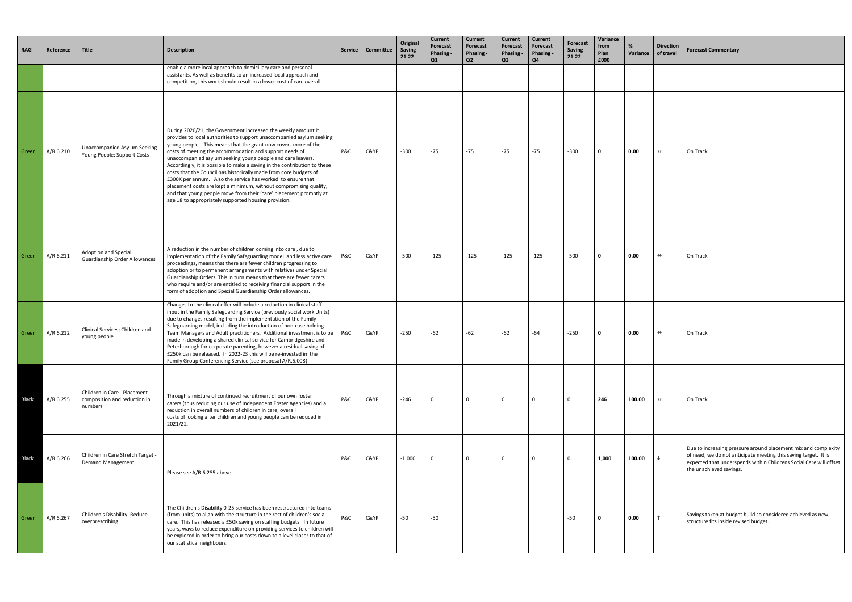| <b>RAG</b>   | Reference | <b>Title</b>                                                            | <b>Description</b>                                                                                                                                                                                                                                                                                                                                                                                                                                                                                                                                                                                                                                                                                                                                     | Service | Committee | Original<br>Saving<br>$21-22$ | <b>Current</b><br>Forecast<br>Phasing -<br>Q1 | <b>Current</b><br>Forecast<br><b>Phasing -</b><br>Q <sub>2</sub> | <b>Current</b><br>Forecast<br>Phasing -<br>Q <sub>3</sub> | <b>Current</b><br>Forecast<br>Phasing -<br>Q <sub>4</sub> | <b>Forecast</b><br><b>Saving</b><br>$21 - 22$ | Variance<br>from<br>Plan<br>£000 | %<br>Variance | <b>Direction</b><br>of travel | <b>Forecast</b>                               |
|--------------|-----------|-------------------------------------------------------------------------|--------------------------------------------------------------------------------------------------------------------------------------------------------------------------------------------------------------------------------------------------------------------------------------------------------------------------------------------------------------------------------------------------------------------------------------------------------------------------------------------------------------------------------------------------------------------------------------------------------------------------------------------------------------------------------------------------------------------------------------------------------|---------|-----------|-------------------------------|-----------------------------------------------|------------------------------------------------------------------|-----------------------------------------------------------|-----------------------------------------------------------|-----------------------------------------------|----------------------------------|---------------|-------------------------------|-----------------------------------------------|
|              |           |                                                                         | enable a more local approach to domiciliary care and personal<br>assistants. As well as benefits to an increased local approach and<br>competition, this work should result in a lower cost of care overall.                                                                                                                                                                                                                                                                                                                                                                                                                                                                                                                                           |         |           |                               |                                               |                                                                  |                                                           |                                                           |                                               |                                  |               |                               |                                               |
| Green        | A/R.6.210 | <b>Unaccompanied Asylum Seeking</b><br>Young People: Support Costs      | During 2020/21, the Government increased the weekly amount it<br>provides to local authorities to support unaccompanied asylum seeking<br>young people. This means that the grant now covers more of the<br>costs of meeting the accommodation and support needs of<br>unaccompanied asylum seeking young people and care leavers.<br>Accordingly, it is possible to make a saving in the contribution to these<br>costs that the Council has historically made from core budgets of<br>£300K per annum. Also the service has worked to ensure that<br>placement costs are kept a minimum, without compromising quality,<br>and that young people move from their 'care' placement promptly at<br>age 18 to appropriately supported housing provision. | P&C     | C&YP      | $-300$                        | $-75$                                         | $-75$                                                            | $-75$                                                     | $-75$                                                     | $-300$                                        | 0                                | 0.00          | $\leftrightarrow$             | On Track                                      |
| Green        | A/R.6.211 | Adoption and Special<br><b>Guardianship Order Allowances</b>            | A reduction in the number of children coming into care, due to<br>implementation of the Family Safeguarding model and less active care<br>proceedings, means that there are fewer children progressing to<br>adoption or to permanent arrangements with relatives under Special<br>Guardianship Orders. This in turn means that there are fewer carers<br>who require and/or are entitled to receiving financial support in the<br>form of adoption and Special Guardianship Order allowances.                                                                                                                                                                                                                                                         | P&C     | C&YP      | -500                          | $-125$                                        | -125                                                             | $-125$                                                    | $-125$                                                    | -500                                          | 0                                | 0.00          | $\leftrightarrow$             | On Track                                      |
| Green        | A/R.6.212 | Clinical Services; Children and<br>young people                         | Changes to the clinical offer will include a reduction in clinical staff<br>input in the Family Safeguarding Service (previously social work Units)<br>due to changes resulting from the implementation of the Family<br>Safeguarding model, including the introduction of non-case holding<br>Team Managers and Adult practitioners. Additional investment is to be<br>made in developing a shared clinical service for Cambridgeshire and<br>Peterborough for corporate parenting, however a residual saving of<br>£250k can be released. In 2022-23 this will be re-invested in the<br>Family Group Conferencing Service (see proposal A/R.5.008)                                                                                                   | P&C     | C&YP      | $-250$                        | $-62$                                         | $-62$                                                            | $-62$                                                     | $-64$                                                     | $-250$                                        | 0                                | 0.00          | $\leftrightarrow$             | On Track                                      |
| <b>Black</b> | A/R.6.255 | Children in Care - Placement<br>composition and reduction in<br>numbers | Through a mixture of continued recruitment of our own foster<br>carers (thus reducing our use of Independent Foster Agencies) and a<br>reduction in overall numbers of children in care, overall<br>costs of looking after children and young people can be reduced in<br>2021/22.                                                                                                                                                                                                                                                                                                                                                                                                                                                                     | P&C     | C&YP      | $-246$                        | $\mathbf 0$                                   | 0                                                                | 0                                                         | 0                                                         | $\mathbf 0$                                   | 246                              | 100.00        | $\leftrightarrow$             | On Track                                      |
| <b>Black</b> | A/R.6.266 | Children in Care Stretch Target -<br>Demand Management                  | Please see A/R.6.255 above.                                                                                                                                                                                                                                                                                                                                                                                                                                                                                                                                                                                                                                                                                                                            | P&C     | C&YP      | $-1,000$                      | 0                                             | 0                                                                | 0                                                         | 0                                                         | $\mathbf 0$                                   | 1,000                            | 100.00        |                               | Due to ir<br>of need,<br>expected<br>the unac |
| Green        | A/R.6.267 | Children's Disability: Reduce<br>overprescribing                        | The Children's Disability 0-25 service has been restructured into teams<br>(from units) to align with the structure in the rest of children's social<br>care. This has released a £50k saving on staffing budgets. In future<br>years, ways to reduce expenditure on providing services to children will<br>be explored in order to bring our costs down to a level closer to that of<br>our statistical neighbours.                                                                                                                                                                                                                                                                                                                                   | P&C     | C&YP      | -50                           | $-50$                                         |                                                                  |                                                           |                                                           | -50                                           | $\Omega$                         | 0.00          |                               | Savings t<br>structure                        |

| ıce | <b>Direction</b><br>of travel | <b>Forecast Commentary</b>                                                                                                                                                                                                         |
|-----|-------------------------------|------------------------------------------------------------------------------------------------------------------------------------------------------------------------------------------------------------------------------------|
|     |                               |                                                                                                                                                                                                                                    |
|     | $\leftrightarrow$             | On Track                                                                                                                                                                                                                           |
|     | $\leftrightarrow$             | On Track                                                                                                                                                                                                                           |
|     | $\leftrightarrow$             | On Track                                                                                                                                                                                                                           |
| J   | $\leftrightarrow$             | On Track                                                                                                                                                                                                                           |
| )   | ↓                             | Due to increasing pressure around placement mix and complexity<br>of need, we do not anticipate meeting this saving target. It is<br>expected that underspends within Childrens Social Care will offset<br>the unachieved savings. |
|     | ↑                             | Savings taken at budget build so considered achieved as new<br>structure fits inside revised budget.                                                                                                                               |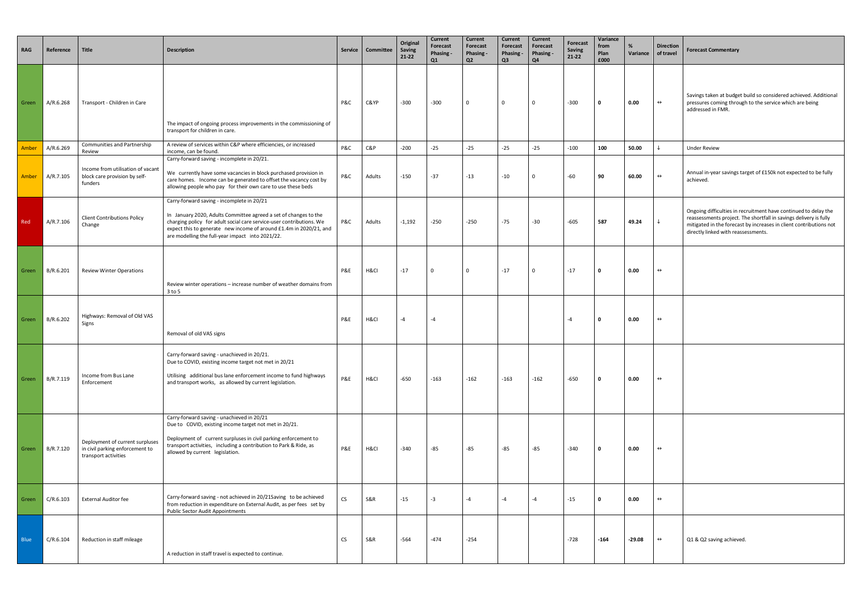| ıce | <b>Direction</b><br>of travel | <b>Forecast Commentary</b>                                                                                                                                                                                                                        |
|-----|-------------------------------|---------------------------------------------------------------------------------------------------------------------------------------------------------------------------------------------------------------------------------------------------|
|     | $\leftrightarrow$             | Savings taken at budget build so considered achieved. Additional<br>pressures coming through to the service which are being<br>addressed in FMR.                                                                                                  |
|     | ↓                             | <b>Under Review</b>                                                                                                                                                                                                                               |
|     | $\leftrightarrow$             | Annual in-year savings target of £150k not expected to be fully<br>achieved.                                                                                                                                                                      |
|     | ↓                             | Ongoing difficulties in recruitment have continued to delay the<br>reassessments project. The shortfall in savings delivery is fully<br>mitigated in the forecast by increases in client contributions not<br>directly linked with reassessments. |
|     | $\leftrightarrow$             |                                                                                                                                                                                                                                                   |
|     | $\leftrightarrow$             |                                                                                                                                                                                                                                                   |
|     | $\leftrightarrow$             |                                                                                                                                                                                                                                                   |
|     | $\leftrightarrow$             |                                                                                                                                                                                                                                                   |
|     | $\leftrightarrow$             |                                                                                                                                                                                                                                                   |
|     | ↔                             | Q1 & Q2 saving achieved.                                                                                                                                                                                                                          |

| <b>RAG</b>  | Reference | Title                                                                                      | <b>Description</b>                                                                                                                                                                                                                                                                                               | <b>Service</b> | Committee      | Original<br><b>Saving</b><br>$21 - 22$ | Current<br><b>Forecast</b><br>Phasing -<br>Q1 | <b>Current</b><br>Forecast<br>Phasing -<br>Q <sub>2</sub> | <b>Current</b><br><b>Forecast</b><br>Phasing -<br>Q <sub>3</sub> | Current<br>Forecast<br><b>Phasing -</b><br>Q <sub>4</sub> | <b>Forecast</b><br><b>Saving</b><br>$21 - 22$ | Variance<br>from<br>Plan<br>£000 | %<br>Variance | <b>Direction</b><br>of travel | <b>Forecast Commentary</b>                                                                                           |
|-------------|-----------|--------------------------------------------------------------------------------------------|------------------------------------------------------------------------------------------------------------------------------------------------------------------------------------------------------------------------------------------------------------------------------------------------------------------|----------------|----------------|----------------------------------------|-----------------------------------------------|-----------------------------------------------------------|------------------------------------------------------------------|-----------------------------------------------------------|-----------------------------------------------|----------------------------------|---------------|-------------------------------|----------------------------------------------------------------------------------------------------------------------|
| Green       | A/R.6.268 | Transport - Children in Care                                                               | The impact of ongoing process improvements in the commissioning of<br>transport for children in care.                                                                                                                                                                                                            | P&C            | C&YP           | $-300$                                 | -300                                          | $\mathbf 0$                                               | 0                                                                | $\Omega$                                                  | $-300$                                        | $\Omega$                         | 0.00          | $\leftrightarrow$             | Savings taken at budget b<br>pressures coming througl<br>addressed in FMR.                                           |
| Amber       | A/R.6.269 | Communities and Partnership<br>Review                                                      | A review of services within C&P where efficiencies, or increased<br>income, can be found.                                                                                                                                                                                                                        | P&C            | C&P            | -200                                   | $-25$                                         | $-25$                                                     | $-25$                                                            | $-25$                                                     | $-100$                                        | 100                              | 50.00         | $\downarrow$                  | <b>Under Review</b>                                                                                                  |
| Amber       | A/R.7.105 | Income from utilisation of vacant<br>block care provision by self-<br>funders              | Carry-forward saving - incomplete in 20/21.<br>We currently have some vacancies in block purchased provision in<br>care homes. Income can be generated to offset the vacancy cost by<br>allowing people who pay for their own care to use these beds                                                             | P&C            | Adults         | -150                                   | $-37$                                         | $-13$                                                     | $-10$                                                            | $\Omega$                                                  | $-60$                                         | 90                               | 60.00         | $\leftrightarrow$             | Annual in-year savings ta<br>achieved.                                                                               |
| Red         | A/R.7.106 | <b>Client Contributions Policy</b><br>Change                                               | Carry-forward saving - incomplete in 20/21<br>In January 2020, Adults Committee agreed a set of changes to the<br>charging policy for adult social care service-user contributions. We<br>expect this to generate new income of around £1.4m in 2020/21, and<br>are modelling the full-year impact into 2021/22. | P&C            | Adults         | $-1,192$                               | $-250$                                        | $-250$                                                    | $-75$                                                            | $-30$                                                     | $-605$                                        | 587                              | 49.24         | $\downarrow$                  | Ongoing difficulties in red<br>reassessments project. Tl<br>mitigated in the forecast<br>directly linked with reasse |
| Green       | B/R.6.201 | <b>Review Winter Operations</b>                                                            | Review winter operations - increase number of weather domains from<br>3 to 5                                                                                                                                                                                                                                     | P&E            | H&CI           | $-17$                                  | $\mathbf 0$                                   | $\mathbf 0$                                               | $-17$                                                            | $\Omega$                                                  | $-17$                                         | $\mathbf 0$                      | 0.00          | $\leftrightarrow$             |                                                                                                                      |
| Green       | B/R.6.202 | Highways: Removal of Old VAS<br>Signs                                                      | Removal of old VAS signs                                                                                                                                                                                                                                                                                         | P&E            | H&CI           | $-4$                                   | $-4$                                          |                                                           |                                                                  |                                                           | $-4$                                          | $\mathbf 0$                      | 0.00          | $\leftrightarrow$             |                                                                                                                      |
| Green       | B/R.7.119 | Income from Bus Lane<br>Enforcement                                                        | Carry-forward saving - unachieved in 20/21.<br>Due to COVID, existing income target not met in 20/21<br>Utilising additional bus lane enforcement income to fund highways<br>and transport works, as allowed by current legislation.                                                                             | P&E            | H&CI           | $-650$                                 | $-163$                                        | $-162$                                                    | $-163$                                                           | $-162$                                                    | $-650$                                        | $\mathbf 0$                      | 0.00          | $\leftrightarrow$             |                                                                                                                      |
| Green       | B/R.7.120 | Deployment of current surpluses<br>in civil parking enforcement to<br>transport activities | Carry-forward saving - unachieved in 20/21<br>Due to COVID, existing income target not met in 20/21.<br>Deployment of current surpluses in civil parking enforcement to<br>transport activities, including a contribution to Park & Ride, as<br>allowed by current legislation.                                  | P&E            | H&CI           | $-340$                                 | $-85$                                         | $-85$                                                     | $-85$                                                            | $-85$                                                     | -340                                          | $\Omega$                         | 0.00          | $\leftrightarrow$             |                                                                                                                      |
| Green       | C/R.6.103 | <b>External Auditor fee</b>                                                                | Carry-forward saving - not achieved in 20/21Saving to be achieved<br>from reduction in expenditure on External Audit, as per fees set by<br>Public Sector Audit Appointments                                                                                                                                     | <b>CS</b>      | <b>S&amp;R</b> | $-15$                                  | $-3$                                          | $-4$                                                      | $-4$                                                             | $-4$                                                      | $-15$                                         | $\mathbf 0$                      | 0.00          | $\leftrightarrow$             |                                                                                                                      |
| <b>Blue</b> | C/R.6.104 | Reduction in staff mileage                                                                 | A reduction in staff travel is expected to continue.                                                                                                                                                                                                                                                             | CS             | <b>S&amp;R</b> | $-564$                                 | $-474$                                        | $-254$                                                    |                                                                  |                                                           | -728                                          | $-164$                           | $-29.08$      | $\leftrightarrow$             | Q1 & Q2 saving achieved                                                                                              |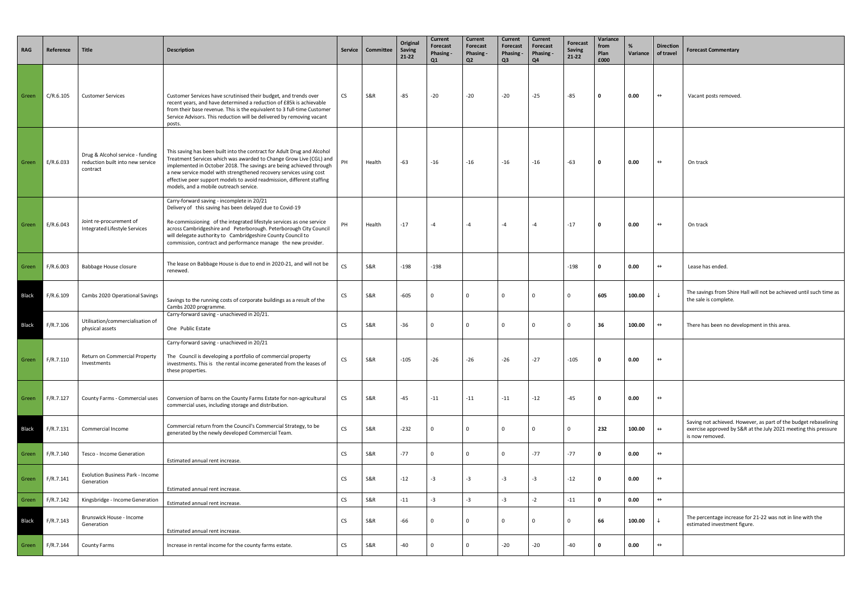| <b>RAG</b>   | Reference | Title                                                                            | <b>Description</b>                                                                                                                                                                                                                                                                                                                                                                                             |           | Service   Committee | Original<br>Saving<br>21-22 | <b>Current</b><br>Forecast<br>Phasing -<br>Q1 | Current<br>Forecast<br>Phasing -<br>Q2 | Current<br><b>Forecast</b><br>Phasing -<br>Q3 | Current<br>Forecast<br>Phasing -<br>Q4 | <b>Forecast</b><br>Saving<br>21-22 | Variance<br>from<br>Plan<br>£000 | Variance | <b>Direction</b><br>of travel | <b>Forecast Commentary</b>                                                                                                                             |
|--------------|-----------|----------------------------------------------------------------------------------|----------------------------------------------------------------------------------------------------------------------------------------------------------------------------------------------------------------------------------------------------------------------------------------------------------------------------------------------------------------------------------------------------------------|-----------|---------------------|-----------------------------|-----------------------------------------------|----------------------------------------|-----------------------------------------------|----------------------------------------|------------------------------------|----------------------------------|----------|-------------------------------|--------------------------------------------------------------------------------------------------------------------------------------------------------|
| Green        | C/R.6.105 | <b>Customer Services</b>                                                         | Customer Services have scrutinised their budget, and trends over<br>recent years, and have determined a reduction of £85k is achievable<br>from their base revenue. This is the equivalent to 3 full-time Customer<br>Service Advisors. This reduction will be delivered by removing vacant<br>posts.                                                                                                          | CS        | S&R                 | -85                         | $-20$                                         | $-20$                                  | $-20$                                         | $-25$                                  | $-85$                              | 0                                | 0.00     | $\leftrightarrow$             | Vacant posts removed.                                                                                                                                  |
| Green        | E/R.6.033 | Drug & Alcohol service - funding<br>reduction built into new service<br>contract | This saving has been built into the contract for Adult Drug and Alcohol<br>Treatment Services which was awarded to Change Grow Live (CGL) and<br>implemented in October 2018. The savings are being achieved through<br>a new service model with strengthened recovery services using cost<br>effective peer support models to avoid readmission, different staffing<br>models, and a mobile outreach service. | PH        | Health              | -63                         | $-16$                                         | $-16$                                  | $-16$                                         | $-16$                                  | $-63$                              | $\mathbf 0$                      | 0.00     | $\leftrightarrow$             | On track                                                                                                                                               |
| Green        | E/R.6.043 | Joint re-procurement of<br>Integrated Lifestyle Services                         | Carry-forward saving - incomplete in 20/21<br>Delivery of this saving has been delayed due to Covid-19<br>Re-commissioning of the integrated lifestyle services as one service<br>across Cambridgeshire and Peterborough. Peterborough City Council<br>will delegate authority to Cambridgeshire County Council to<br>commission, contract and performance manage the new provider.                            | PH        | Health              | $-17$                       | -4                                            | $-4$                                   | $-4$                                          | $-4$                                   | $-17$                              | $\mathbf{0}$                     | 0.00     | $\leftrightarrow$             | On track                                                                                                                                               |
| Green        | F/R.6.003 | <b>Babbage House closure</b>                                                     | The lease on Babbage House is due to end in 2020-21, and will not be<br>renewed.                                                                                                                                                                                                                                                                                                                               | <b>CS</b> | S&R                 | $-198$                      | $-198$                                        |                                        |                                               |                                        | $-198$                             | - 0                              | 0.00     | $\leftrightarrow$             | Lease has ended.                                                                                                                                       |
| <b>Black</b> | F/R.6.109 | Cambs 2020 Operational Savings                                                   | Savings to the running costs of corporate buildings as a result of the<br>Cambs 2020 programme.                                                                                                                                                                                                                                                                                                                | <b>CS</b> | S&R                 | $-605$                      | $\Omega$                                      | $\Omega$                               | $\Omega$                                      | $\Omega$                               | $\Omega$                           | 605                              | 100.00   | $\downarrow$                  | The savings from Shire Hall will not be achieved until such time as<br>the sale is complete.                                                           |
| <b>Black</b> | F/R.7.106 | Utilisation/commercialisation of<br>physical assets                              | Carry-forward saving - unachieved in 20/21.<br>One Public Estate                                                                                                                                                                                                                                                                                                                                               | <b>CS</b> | S&R                 | -36                         | $\Omega$                                      | $\Omega$                               | $\mathbf 0$                                   | $\Omega$                               | $\Omega$                           | 36                               | 100.00   | $\leftrightarrow$             | There has been no development in this area.                                                                                                            |
| Green        | F/R.7.110 | Return on Commercial Property<br>Investments                                     | Carry-forward saving - unachieved in 20/21<br>The Council is developing a portfolio of commercial property<br>investments. This is the rental income generated from the leases of<br>these properties.                                                                                                                                                                                                         | <b>CS</b> | <b>S&amp;R</b>      | $-105$                      | $-26$                                         | $-26$                                  | $-26$                                         | $-27$                                  | $-105$                             | 0                                | 0.00     | $\leftrightarrow$             |                                                                                                                                                        |
| Green        | F/R.7.127 | County Farms - Commercial uses                                                   | Conversion of barns on the County Farms Estate for non-agricultural<br>commercial uses, including storage and distribution.                                                                                                                                                                                                                                                                                    | CS        | S&R                 | -45                         | $-11$                                         | $-11$                                  | $-11$                                         | $-12$                                  | -45                                | $\mathbf 0$                      | 0.00     | $\leftrightarrow$             |                                                                                                                                                        |
| Black        | F/R.7.131 | <b>Commercial Income</b>                                                         | Commercial return from the Council's Commercial Strategy, to be<br>generated by the newly developed Commercial Team.                                                                                                                                                                                                                                                                                           | <b>CS</b> | S&R                 | $-232$                      | - 0                                           | $\Omega$                               | $\mathbf 0$                                   | $\Omega$                               | $\Omega$                           | 232                              | 100.00   | $\leftrightarrow$             | Saving not achieved. However, as part of the budget rebaselining<br>exercise approved by S&R at the July 2021 meeting this pressure<br>is now removed. |
| Green        | F/R.7.140 | Tesco - Income Generation                                                        | Estimated annual rent increase.                                                                                                                                                                                                                                                                                                                                                                                | <b>CS</b> | S&R                 | $-77$                       | $\Omega$                                      | $\mathbf 0$                            | $\mathbf{0}$                                  | $-77$                                  | $-77$                              | $\mathbf{0}$                     | 0.00     | $\leftrightarrow$             |                                                                                                                                                        |
| Green        | F/R.7.141 | <b>Evolution Business Park - Income</b><br>Generation                            | Estimated annual rent increase.                                                                                                                                                                                                                                                                                                                                                                                | <b>CS</b> | S&R                 | $-12$                       | $-3$                                          | $-3$                                   | $-3$                                          | $-3$                                   | $-12$                              | $\mathbf{0}$                     | 0.00     | $\leftrightarrow$             |                                                                                                                                                        |
| Green        | F/R.7.142 | Kingsbridge - Income Generation                                                  | Estimated annual rent increase.                                                                                                                                                                                                                                                                                                                                                                                | <b>CS</b> | S&R                 | -11                         | $-3$                                          | $-3$                                   | $-3$                                          | $-2$                                   | $-11$                              | $\mathbf{0}$                     | 0.00     | $\leftrightarrow$             |                                                                                                                                                        |
| <b>Black</b> | F/R.7.143 | Brunswick House - Income<br>Generation                                           | Estimated annual rent increase.                                                                                                                                                                                                                                                                                                                                                                                | <b>CS</b> | S&R                 | -66                         |                                               | $\Omega$                               | 0                                             | 0                                      | $\Omega$                           | 66                               | 100.00   | $\downarrow$                  | The percentage increase for 21-22 was not in line with the<br>estimated investment figure.                                                             |
| Green        | F/R.7.144 | County Farms                                                                     | Increase in rental income for the county farms estate.                                                                                                                                                                                                                                                                                                                                                         | <b>CS</b> | <b>S&amp;R</b>      | -40                         | $\Omega$                                      | $\Omega$                               | $-20$                                         | $-20$                                  | -40                                | $\mathbf 0$                      | 0.00     | $\leftrightarrow$             |                                                                                                                                                        |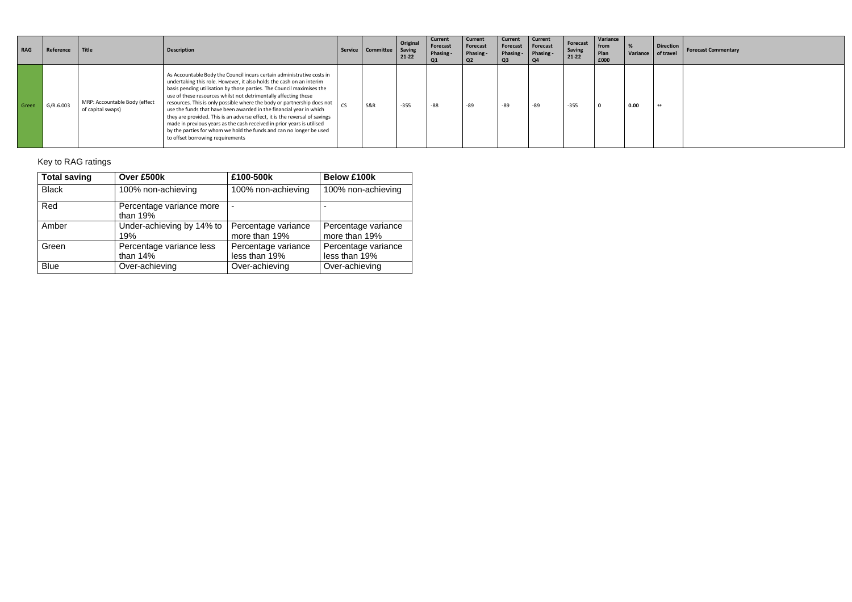| <b>RAG</b> | Reference | Title                                              | <b>Description</b>                                                                                                                                                                                                                                                                                                                                                                                                                                                                                                                                                                                                                                                                                               | Service   | Committee      | Original<br>Saving<br>21-22 | Current<br>Forecast<br>Phasing -<br>Q1 | Current<br>Forecast<br>Phasing -<br>Q2 | <b>Current</b><br>Forecast<br>Phasing -<br>Q <sub>3</sub> | <b>Current</b><br>Forecast<br>Phasing -<br>Q4 | Forecast<br>Saving<br>21-22 | Variance<br>from<br>Plan<br>£000 | Variance | <b>Direction</b><br>of travel | <b>Forecast Commentary</b> |
|------------|-----------|----------------------------------------------------|------------------------------------------------------------------------------------------------------------------------------------------------------------------------------------------------------------------------------------------------------------------------------------------------------------------------------------------------------------------------------------------------------------------------------------------------------------------------------------------------------------------------------------------------------------------------------------------------------------------------------------------------------------------------------------------------------------------|-----------|----------------|-----------------------------|----------------------------------------|----------------------------------------|-----------------------------------------------------------|-----------------------------------------------|-----------------------------|----------------------------------|----------|-------------------------------|----------------------------|
| Green      | G/R.6.003 | MRP: Accountable Body (effect<br>of capital swaps) | As Accountable Body the Council incurs certain administrative costs in<br>undertaking this role. However, it also holds the cash on an interim<br>basis pending utilisation by those parties. The Council maximises the<br>use of these resources whilst not detrimentally affecting those<br>resources. This is only possible where the body or partnership does not<br>use the funds that have been awarded in the financial year in which<br>they are provided. This is an adverse effect, it is the reversal of savings<br>made in previous years as the cash received in prior years is utilised<br>by the parties for whom we hold the funds and can no longer be used<br>to offset borrowing requirements | <b>CS</b> | <b>S&amp;R</b> | $-355$                      | $-88$                                  | -89                                    | -89                                                       | $-89$                                         | $-355$                      | - 0                              | 0.00     | $\leftrightarrow$             |                            |

# Key to RAG ratings

| <b>Total saving</b> | Over £500k                             | £100-500k                            | <b>Below £100k</b>                   |
|---------------------|----------------------------------------|--------------------------------------|--------------------------------------|
| <b>Black</b>        | 100% non-achieving                     | 100% non-achieving                   | 100% non-achieving                   |
| Red                 | Percentage variance more<br>than $19%$ |                                      |                                      |
| Amber               | Under-achieving by 14% to<br>19%       | Percentage variance<br>more than 19% | Percentage variance<br>more than 19% |
| Green               | Percentage variance less<br>than $14%$ | Percentage variance<br>less than 19% | Percentage variance<br>less than 19% |
| <b>Blue</b>         | Over-achieving                         | Over-achieving                       | Over-achieving                       |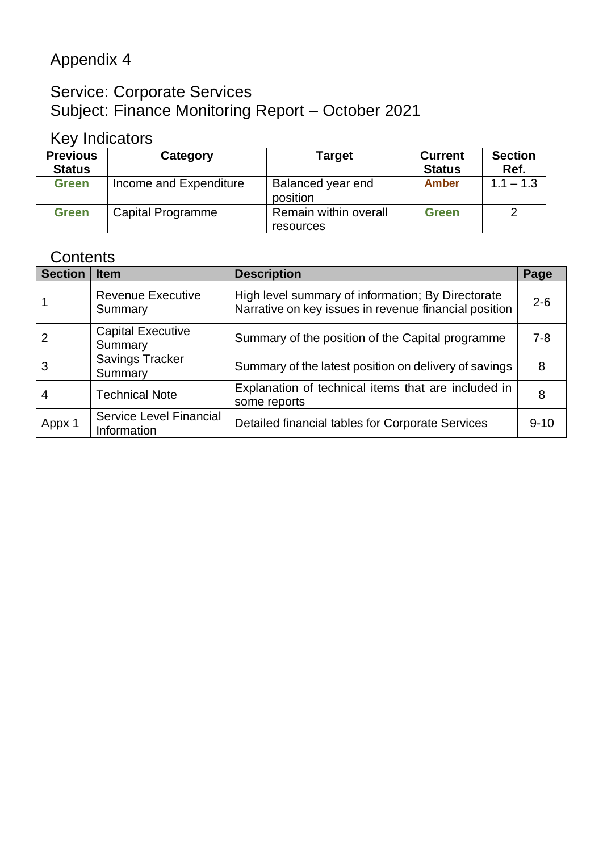# Appendix 4

# Service: Corporate Services Subject: Finance Monitoring Report – October 2021

# Key Indicators

| <b>Previous</b><br><b>Status</b> | Category               | <b>Target</b>                      | <b>Current</b><br><b>Status</b> | <b>Section</b><br>Ref. |
|----------------------------------|------------------------|------------------------------------|---------------------------------|------------------------|
| <b>Green</b>                     | Income and Expenditure | Balanced year end<br>position      | <b>Amber</b>                    | $1.1 - 1.3$            |
| <b>Green</b>                     | Capital Programme      | Remain within overall<br>resources | <b>Green</b>                    | 2                      |

# **Contents**

| <b>Section</b> | <b>Item</b>                            | <b>Description</b>                                                                                         | Page     |
|----------------|----------------------------------------|------------------------------------------------------------------------------------------------------------|----------|
|                | <b>Revenue Executive</b><br>Summary    | High level summary of information; By Directorate<br>Narrative on key issues in revenue financial position | $2 - 6$  |
|                | <b>Capital Executive</b><br>Summary    | Summary of the position of the Capital programme                                                           | 7-8      |
| 3              | <b>Savings Tracker</b><br>Summary      | Summary of the latest position on delivery of savings                                                      | 8        |
| 4              | <b>Technical Note</b>                  | Explanation of technical items that are included in<br>some reports                                        | 8        |
| Appx 1         | Service Level Financial<br>Information | Detailed financial tables for Corporate Services                                                           | $9 - 10$ |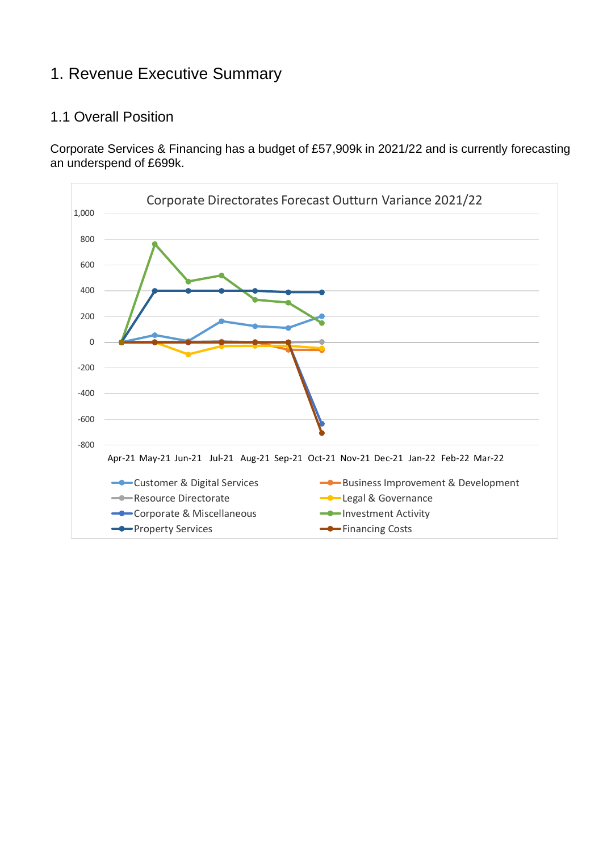# 1. Revenue Executive Summary

## 1.1 Overall Position

Corporate Services & Financing has a budget of £57,909k in 2021/22 and is currently forecasting an underspend of £699k.

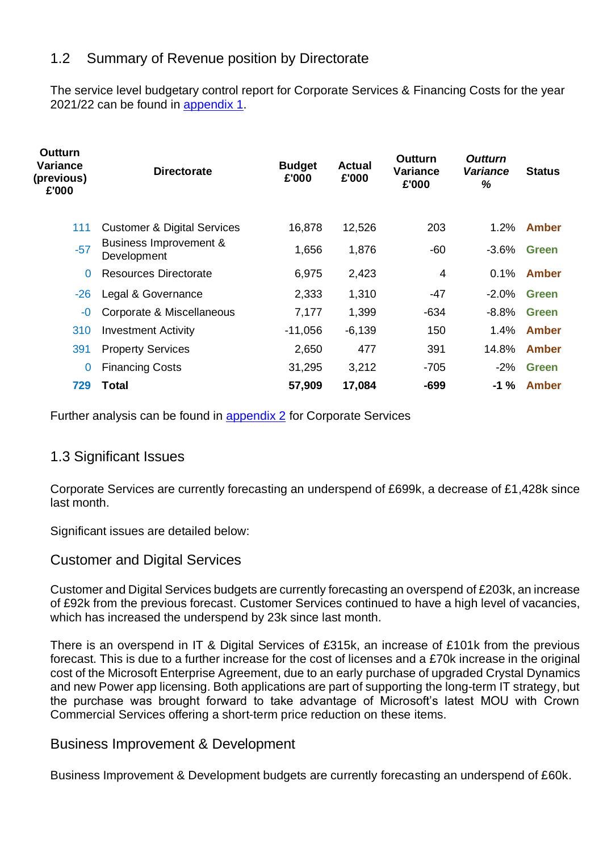## 1.2 Summary of Revenue position by Directorate

The service level budgetary control report for Corporate Services & Financing Costs for the year 2021/22 can be found in [appendix 1.](#page-43-0)

| <b>Outturn</b><br>Variance<br>(previous)<br>£'000 | <b>Directorate</b>                     | <b>Budget</b><br>£'000 | <b>Actual</b><br>£'000 | Outturn<br>Variance<br>£'000 | <b>Outturn</b><br><b>Variance</b><br>% | <b>Status</b> |
|---------------------------------------------------|----------------------------------------|------------------------|------------------------|------------------------------|----------------------------------------|---------------|
| 111                                               | <b>Customer &amp; Digital Services</b> | 16,878                 | 12,526                 | 203                          | 1.2%                                   | <b>Amber</b>  |
| $-57$                                             | Business Improvement &<br>Development  | 1,656                  | 1,876                  | $-60$                        | -3.6%                                  | <b>Green</b>  |
| $\Omega$                                          | <b>Resources Directorate</b>           | 6,975                  | 2,423                  | 4                            | 0.1%                                   | <b>Amber</b>  |
| $-26$                                             | Legal & Governance                     | 2,333                  | 1,310                  | -47                          | $-2.0%$                                | <b>Green</b>  |
| $-0$                                              | Corporate & Miscellaneous              | 7,177                  | 1,399                  | $-634$                       | $-8.8%$                                | <b>Green</b>  |
| 310                                               | <b>Investment Activity</b>             | $-11,056$              | $-6,139$               | 150                          | $1.4\%$                                | <b>Amber</b>  |
| 391                                               | <b>Property Services</b>               | 2,650                  | 477                    | 391                          | 14.8%                                  | Amber         |
| $\overline{0}$                                    | <b>Financing Costs</b>                 | 31,295                 | 3,212                  | $-705$                       | $-2\%$                                 | <b>Green</b>  |
| 729                                               | Total                                  | 57,909                 | 17,084                 | $-699$                       | $-1 \%$                                | Amber         |

Further analysis can be found in appendix 2 for Corporate Services

## 1.3 Significant Issues

Corporate Services are currently forecasting an underspend of £699k, a decrease of £1,428k since last month.

Significant issues are detailed below:

#### Customer and Digital Services

Customer and Digital Services budgets are currently forecasting an overspend of £203k, an increase of £92k from the previous forecast. Customer Services continued to have a high level of vacancies, which has increased the underspend by 23k since last month.

There is an overspend in IT & Digital Services of £315k, an increase of £101k from the previous forecast. This is due to a further increase for the cost of licenses and a £70k increase in the original cost of the Microsoft Enterprise Agreement, due to an early purchase of upgraded Crystal Dynamics and new Power app licensing. Both applications are part of supporting the long-term IT strategy, but the purchase was brought forward to take advantage of Microsoft's latest MOU with Crown Commercial Services offering a short-term price reduction on these items.

#### Business Improvement & Development

Business Improvement & Development budgets are currently forecasting an underspend of £60k.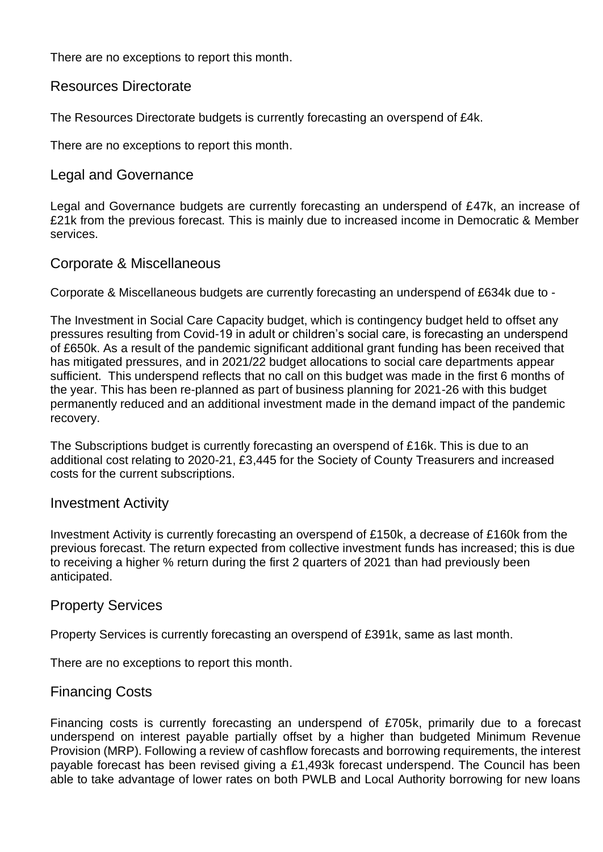There are no exceptions to report this month.

#### Resources Directorate

The Resources Directorate budgets is currently forecasting an overspend of £4k.

There are no exceptions to report this month.

#### Legal and Governance

Legal and Governance budgets are currently forecasting an underspend of £47k, an increase of £21k from the previous forecast. This is mainly due to increased income in Democratic & Member services.

#### Corporate & Miscellaneous

Corporate & Miscellaneous budgets are currently forecasting an underspend of £634k due to -

The Investment in Social Care Capacity budget, which is contingency budget held to offset any pressures resulting from Covid-19 in adult or children's social care, is forecasting an underspend of £650k. As a result of the pandemic significant additional grant funding has been received that has mitigated pressures, and in 2021/22 budget allocations to social care departments appear sufficient. This underspend reflects that no call on this budget was made in the first 6 months of the year. This has been re-planned as part of business planning for 2021-26 with this budget permanently reduced and an additional investment made in the demand impact of the pandemic recovery.

The Subscriptions budget is currently forecasting an overspend of £16k. This is due to an additional cost relating to 2020-21, £3,445 for the Society of County Treasurers and increased costs for the current subscriptions.

#### Investment Activity

Investment Activity is currently forecasting an overspend of £150k, a decrease of £160k from the previous forecast. The return expected from collective investment funds has increased; this is due to receiving a higher % return during the first 2 quarters of 2021 than had previously been anticipated.

#### Property Services

Property Services is currently forecasting an overspend of £391k, same as last month.

There are no exceptions to report this month.

#### Financing Costs

Financing costs is currently forecasting an underspend of £705k, primarily due to a forecast underspend on interest payable partially offset by a higher than budgeted Minimum Revenue Provision (MRP). Following a review of cashflow forecasts and borrowing requirements, the interest payable forecast has been revised giving a £1,493k forecast underspend. The Council has been able to take advantage of lower rates on both PWLB and Local Authority borrowing for new loans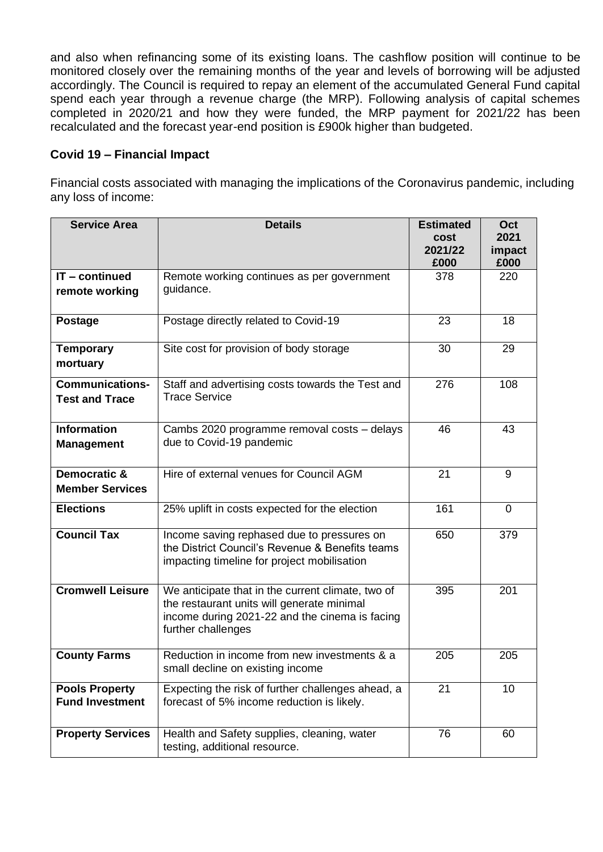and also when refinancing some of its existing loans. The cashflow position will continue to be monitored closely over the remaining months of the year and levels of borrowing will be adjusted accordingly. The Council is required to repay an element of the accumulated General Fund capital spend each year through a revenue charge (the MRP). Following analysis of capital schemes completed in 2020/21 and how they were funded, the MRP payment for 2021/22 has been recalculated and the forecast year-end position is £900k higher than budgeted.

#### **Covid 19 – Financial Impact**

Financial costs associated with managing the implications of the Coronavirus pandemic, including any loss of income:

| <b>Service Area</b>                             | <b>Details</b>                                                                                                                                                          | <b>Estimated</b><br>cost<br>2021/22<br>£000 | Oct<br>2021<br>impact<br>£000 |
|-------------------------------------------------|-------------------------------------------------------------------------------------------------------------------------------------------------------------------------|---------------------------------------------|-------------------------------|
| $IT$ – continued<br>remote working              | Remote working continues as per government<br>guidance.                                                                                                                 | 378                                         | 220                           |
| <b>Postage</b>                                  | Postage directly related to Covid-19                                                                                                                                    | 23                                          | 18                            |
| <b>Temporary</b><br>mortuary                    | Site cost for provision of body storage                                                                                                                                 | 30                                          | 29                            |
| <b>Communications-</b><br><b>Test and Trace</b> | Staff and advertising costs towards the Test and<br><b>Trace Service</b>                                                                                                | 276                                         | 108                           |
| <b>Information</b><br><b>Management</b>         | Cambs 2020 programme removal costs - delays<br>due to Covid-19 pandemic                                                                                                 | 46                                          | 43                            |
| Democratic &<br><b>Member Services</b>          | Hire of external venues for Council AGM                                                                                                                                 | 21                                          | 9                             |
| <b>Elections</b>                                | 25% uplift in costs expected for the election                                                                                                                           | 161                                         | $\overline{0}$                |
| <b>Council Tax</b>                              | Income saving rephased due to pressures on<br>the District Council's Revenue & Benefits teams<br>impacting timeline for project mobilisation                            | 650                                         | 379                           |
| <b>Cromwell Leisure</b>                         | We anticipate that in the current climate, two of<br>the restaurant units will generate minimal<br>income during 2021-22 and the cinema is facing<br>further challenges | 395                                         | 201                           |
| <b>County Farms</b>                             | Reduction in income from new investments & a<br>small decline on existing income                                                                                        | 205                                         | 205                           |
| <b>Pools Property</b><br><b>Fund Investment</b> | Expecting the risk of further challenges ahead, a<br>forecast of 5% income reduction is likely.                                                                         | 21                                          | 10                            |
| <b>Property Services</b>                        | Health and Safety supplies, cleaning, water<br>testing, additional resource.                                                                                            | 76                                          | 60                            |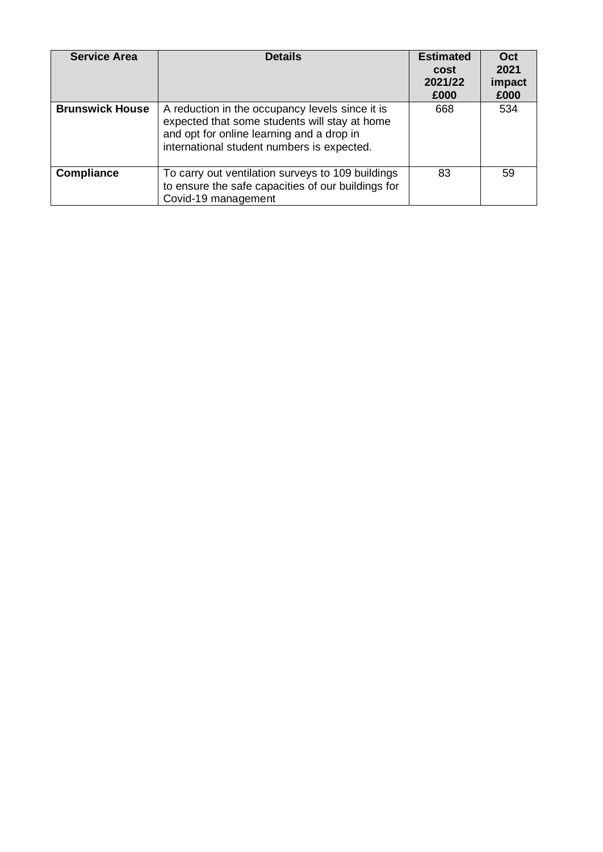| <b>Service Area</b>    | <b>Details</b>                                                                                                                                                                              | <b>Estimated</b><br>cost<br>2021/22<br>£000 | Oct<br>2021<br>impact<br>£000 |
|------------------------|---------------------------------------------------------------------------------------------------------------------------------------------------------------------------------------------|---------------------------------------------|-------------------------------|
| <b>Brunswick House</b> | A reduction in the occupancy levels since it is<br>expected that some students will stay at home<br>and opt for online learning and a drop in<br>international student numbers is expected. | 668                                         | 534                           |
| <b>Compliance</b>      | To carry out ventilation surveys to 109 buildings<br>to ensure the safe capacities of our buildings for<br>Covid-19 management                                                              | 83                                          | 59                            |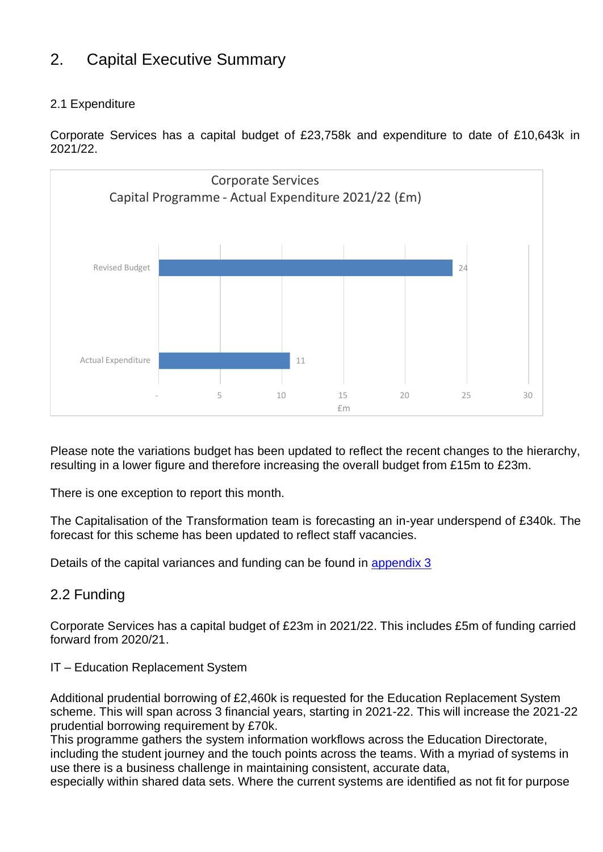# 2. Capital Executive Summary

#### 2.1 Expenditure

Corporate Services has a capital budget of £23,758k and expenditure to date of £10,643k in 2021/22.



Please note the variations budget has been updated to reflect the recent changes to the hierarchy, resulting in a lower figure and therefore increasing the overall budget from £15m to £23m.

There is one exception to report this month.

The Capitalisation of the Transformation team is forecasting an in-year underspend of £340k. The forecast for this scheme has been updated to reflect staff vacancies.

Details of the capital variances and funding can be found in appendix 3

## 2.2 Funding

Corporate Services has a capital budget of £23m in 2021/22. This includes £5m of funding carried forward from 2020/21.

#### IT – Education Replacement System

Additional prudential borrowing of £2,460k is requested for the Education Replacement System scheme. This will span across 3 financial years, starting in 2021-22. This will increase the 2021-22 prudential borrowing requirement by £70k.

This programme gathers the system information workflows across the Education Directorate, including the student journey and the touch points across the teams. With a myriad of systems in use there is a business challenge in maintaining consistent, accurate data,

especially within shared data sets. Where the current systems are identified as not fit for purpose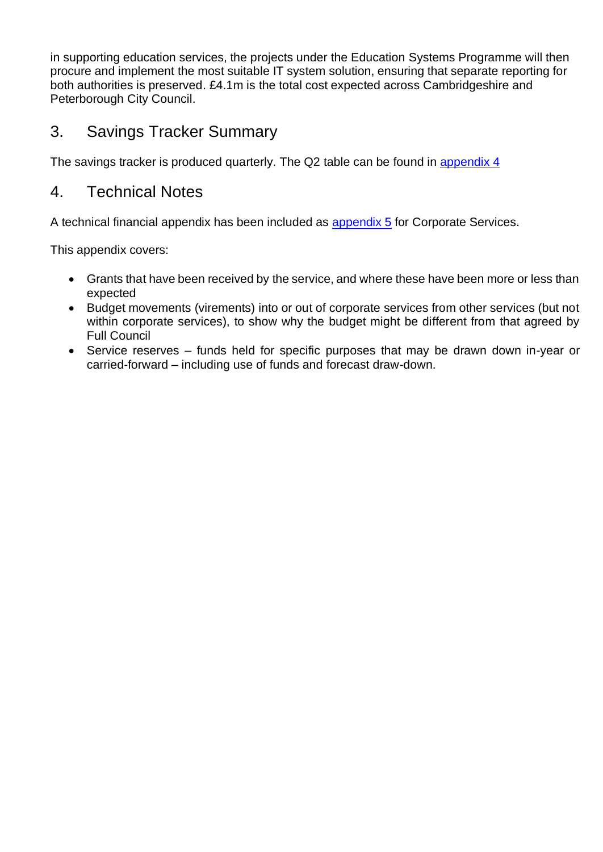in supporting education services, the projects under the Education Systems Programme will then procure and implement the most suitable IT system solution, ensuring that separate reporting for both authorities is preserved. £4.1m is the total cost expected across Cambridgeshire and Peterborough City Council.

# 3. Savings Tracker Summary

The savings tracker is produced quarterly. The Q2 table can be found in appendix 4

## 4. Technical Notes

A technical financial appendix has been included as appendix 5 for Corporate Services.

This appendix covers:

- Grants that have been received by the service, and where these have been more or less than expected
- Budget movements (virements) into or out of corporate services from other services (but not within corporate services), to show why the budget might be different from that agreed by Full Council
- Service reserves funds held for specific purposes that may be drawn down in-year or carried-forward – including use of funds and forecast draw-down.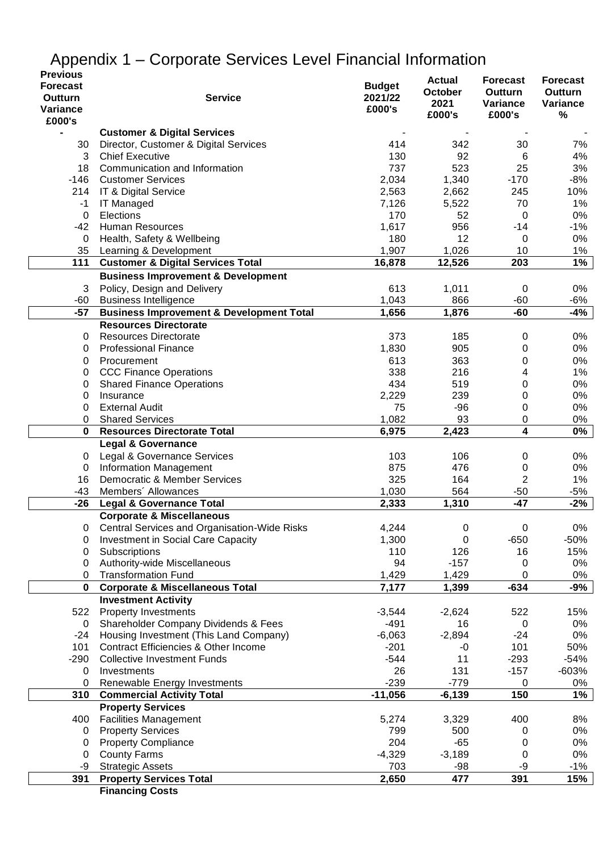| יי"<br><b>Previous</b> |                                                     |               |                        |                            |                         |
|------------------------|-----------------------------------------------------|---------------|------------------------|----------------------------|-------------------------|
| <b>Forecast</b>        |                                                     | <b>Budget</b> | <b>Actual</b>          | <b>Forecast</b>            | <b>Forecast</b>         |
| Outturn                | <b>Service</b>                                      | 2021/22       | <b>October</b><br>2021 | <b>Outturn</b><br>Variance | <b>Outturn</b>          |
| Variance               |                                                     | £000's        |                        |                            | <b>Variance</b><br>$\%$ |
| £000's                 |                                                     |               | £000's                 | £000's                     |                         |
|                        | <b>Customer &amp; Digital Services</b>              |               |                        |                            |                         |
| 30                     | Director, Customer & Digital Services               | 414           | 342                    | 30                         | 7%                      |
| 3                      | <b>Chief Executive</b>                              | 130           | 92                     | 6                          | 4%                      |
| 18                     | Communication and Information                       | 737           | 523                    | 25                         | 3%                      |
|                        | -146 Customer Services                              | 2,034         | 1,340                  | $-170$                     | $-8%$                   |
|                        | 214 IT & Digital Service                            | 2,563         | 2,662                  | 245                        | 10%                     |
| $-1$                   | <b>IT Managed</b>                                   | 7,126         | 5,522                  | 70                         | 1%                      |
| $\pmb{0}$              | Elections                                           | 170           | 52                     | 0                          | 0%                      |
|                        | -42 Human Resources                                 | 1,617         | 956                    | $-14$                      | $-1%$                   |
| 0                      | Health, Safety & Wellbeing                          | 180           | 12                     | 0                          | 0%                      |
| 35                     | Learning & Development                              | 1,907         | 1,026                  | 10                         | 1%                      |
| 111                    | <b>Customer &amp; Digital Services Total</b>        | 16,878        | 12,526                 | 203                        | 1%                      |
|                        | <b>Business Improvement &amp; Development</b>       |               |                        |                            |                         |
| 3                      | Policy, Design and Delivery                         | 613           | 1,011                  | $\mathbf 0$                | 0%                      |
| -60                    | <b>Business Intelligence</b>                        | 1,043         | 866                    | $-60$                      | -6%                     |
| $-57$                  | <b>Business Improvement &amp; Development Total</b> | 1,656         | 1,876                  | $-60$                      | -4%                     |
|                        | <b>Resources Directorate</b>                        |               |                        |                            |                         |
| 0                      | <b>Resources Directorate</b>                        | 373           | 185                    | 0                          | 0%                      |
| 0                      | <b>Professional Finance</b>                         | 1,830         | 905                    | 0                          | 0%                      |
| 0                      | Procurement                                         | 613           | 363                    | 0                          | 0%                      |
| 0                      | <b>CCC Finance Operations</b>                       | 338           | 216                    | 4                          | $1\%$                   |
| 0                      | <b>Shared Finance Operations</b>                    | 434           | 519                    | 0                          | 0%                      |
| 0                      | Insurance                                           | 2,229         | 239                    | 0                          | 0%                      |
| 0                      | <b>External Audit</b>                               | 75            | $-96$                  | 0                          | 0%                      |
| 0                      | <b>Shared Services</b>                              | 1,082         | 93                     | $\pmb{0}$                  | 0%                      |
| $\bf{0}$               | <b>Resources Directorate Total</b>                  | 6,975         | 2,423                  | 4                          | 0%                      |
|                        | <b>Legal &amp; Governance</b>                       |               |                        |                            |                         |
| 0                      | Legal & Governance Services                         | 103           | 106                    | 0                          | 0%                      |
| $\pmb{0}$              | <b>Information Management</b>                       | 875           | 476                    | 0                          | 0%                      |
| 16                     | Democratic & Member Services                        | 325           | 164                    | 2                          | 1%                      |
| $-43$                  | Members' Allowances                                 | 1,030         | 564                    | $-50$                      | -5%                     |
| $-26$                  | <b>Legal &amp; Governance Total</b>                 | 2,333         | 1,310                  | $-47$                      | $-2%$                   |
|                        | <b>Corporate &amp; Miscellaneous</b>                |               |                        |                            |                         |
| 0                      | Central Services and Organisation-Wide Risks        | 4,244         | 0                      | $\mathbf 0$                | 0%                      |
| 0                      | Investment in Social Care Capacity                  | 1,300         | 0                      | $-650$                     | -50%                    |
| 0                      | Subscriptions                                       | 110           | 126                    | 16                         | 15%                     |
| 0                      | Authority-wide Miscellaneous                        | 94            | $-157$                 | 0                          | 0%                      |
| 0                      | <b>Transformation Fund</b>                          | 1,429         | 1,429                  | 0                          | 0%                      |
| 0                      | <b>Corporate &amp; Miscellaneous Total</b>          | 7,177         | 1,399                  | $-634$                     | -9%                     |
|                        | <b>Investment Activity</b>                          |               |                        |                            |                         |
| 522                    | <b>Property Investments</b>                         | $-3,544$      | $-2,624$               | 522                        | 15%                     |
| $\mathbf 0$            | Shareholder Company Dividends & Fees                | $-491$        | 16                     | 0                          | 0%                      |
| $-24$                  | Housing Investment (This Land Company)              | $-6,063$      | $-2,894$               | $-24$                      | 0%                      |
| 101                    | <b>Contract Efficiencies &amp; Other Income</b>     | $-201$        | $-0$                   | 101                        | 50%                     |
| $-290$                 | <b>Collective Investment Funds</b>                  | $-544$        | 11                     | $-293$                     | $-54%$                  |
| 0                      | Investments                                         | 26            | 131                    | $-157$                     | $-603%$                 |
| 0                      | Renewable Energy Investments                        | $-239$        | $-779$                 | 0                          | 0%                      |
| 310                    | <b>Commercial Activity Total</b>                    | $-11,056$     | $-6,139$               | 150                        | 1%                      |
|                        | <b>Property Services</b>                            |               |                        |                            |                         |
| 400                    | <b>Facilities Management</b>                        | 5,274         | 3,329                  | 400                        | 8%                      |
| 0                      | <b>Property Services</b>                            | 799           | 500                    | 0                          | 0%                      |
| 0                      | <b>Property Compliance</b>                          | 204           | $-65$                  | 0                          | 0%                      |
| 0                      | <b>County Farms</b>                                 | $-4,329$      | $-3,189$               | 0                          | 0%                      |
| -9                     | <b>Strategic Assets</b>                             | 703           | $-98$                  | -9                         | $-1%$                   |
| 391                    | <b>Property Services Total</b>                      | 2,650         | 477                    | 391                        | 15%                     |
|                        | Einanaing Caato                                     |               |                        |                            |                         |

# <span id="page-43-0"></span>Appendix 1 – Corporate Services Level Financial Information

**Financing Costs**